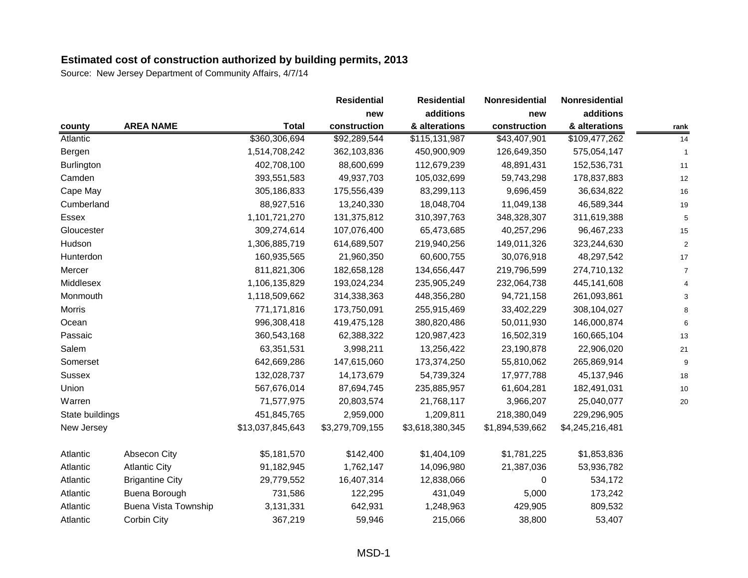|                 |                             |                  | <b>Residential</b> | <b>Residential</b> | Nonresidential  | Nonresidential  |      |
|-----------------|-----------------------------|------------------|--------------------|--------------------|-----------------|-----------------|------|
|                 |                             |                  | new                | additions          | new             | additions       |      |
| county          | <b>AREA NAME</b>            | <b>Total</b>     | construction       | & alterations      | construction    | & alterations   | rank |
| Atlantic        |                             | \$360,306,694    | \$92,289,544       | \$115,131,987      | \$43,407,901    | \$109,477,262   | 14   |
| Bergen          |                             | 1,514,708,242    | 362,103,836        | 450,900,909        | 126,649,350     | 575,054,147     |      |
| Burlington      |                             | 402,708,100      | 88,600,699         | 112,679,239        | 48,891,431      | 152,536,731     | 11   |
| Camden          |                             | 393,551,583      | 49,937,703         | 105,032,699        | 59,743,298      | 178,837,883     | 12   |
| Cape May        |                             | 305,186,833      | 175,556,439        | 83,299,113         | 9,696,459       | 36,634,822      | 16   |
| Cumberland      |                             | 88,927,516       | 13,240,330         | 18,048,704         | 11,049,138      | 46,589,344      | 19   |
| <b>Essex</b>    |                             | 1,101,721,270    | 131,375,812        | 310,397,763        | 348,328,307     | 311,619,388     | 5    |
| Gloucester      |                             | 309,274,614      | 107,076,400        | 65,473,685         | 40,257,296      | 96,467,233      | 15   |
| Hudson          |                             | 1,306,885,719    | 614,689,507        | 219,940,256        | 149,011,326     | 323,244,630     |      |
| Hunterdon       |                             | 160,935,565      | 21,960,350         | 60,600,755         | 30,076,918      | 48,297,542      | 17   |
| Mercer          |                             | 811,821,306      | 182,658,128        | 134,656,447        | 219,796,599     | 274,710,132     | 7    |
| Middlesex       |                             | 1,106,135,829    | 193,024,234        | 235,905,249        | 232,064,738     | 445,141,608     |      |
| Monmouth        |                             | 1,118,509,662    | 314,338,363        | 448,356,280        | 94,721,158      | 261,093,861     |      |
| <b>Morris</b>   |                             | 771,171,816      | 173,750,091        | 255,915,469        | 33,402,229      | 308,104,027     |      |
| Ocean           |                             | 996,308,418      | 419,475,128        | 380,820,486        | 50,011,930      | 146,000,874     |      |
| Passaic         |                             | 360,543,168      | 62,388,322         | 120,987,423        | 16,502,319      | 160,665,104     | 13   |
| Salem           |                             | 63,351,531       | 3,998,211          | 13,256,422         | 23,190,878      | 22,906,020      | 21   |
| Somerset        |                             | 642,669,286      | 147,615,060        | 173,374,250        | 55,810,062      | 265,869,914     | 9    |
| Sussex          |                             | 132,028,737      | 14,173,679         | 54,739,324         | 17,977,788      | 45,137,946      | 18   |
| Union           |                             | 567,676,014      | 87,694,745         | 235,885,957        | 61,604,281      | 182,491,031     | 10   |
| Warren          |                             | 71,577,975       | 20,803,574         | 21,768,117         | 3,966,207       | 25,040,077      | 20   |
| State buildings |                             | 451,845,765      | 2,959,000          | 1,209,811          | 218,380,049     | 229,296,905     |      |
| New Jersey      |                             | \$13,037,845,643 | \$3,279,709,155    | \$3,618,380,345    | \$1,894,539,662 | \$4,245,216,481 |      |
| Atlantic        | Absecon City                | \$5,181,570      | \$142,400          | \$1,404,109        | \$1,781,225     | \$1,853,836     |      |
| Atlantic        | <b>Atlantic City</b>        | 91,182,945       | 1,762,147          | 14,096,980         | 21,387,036      | 53,936,782      |      |
| Atlantic        | <b>Brigantine City</b>      | 29,779,552       | 16,407,314         | 12,838,066         | 0               | 534,172         |      |
| Atlantic        | Buena Borough               | 731,586          | 122,295            | 431,049            | 5,000           | 173,242         |      |
| Atlantic        | <b>Buena Vista Township</b> | 3,131,331        | 642,931            | 1,248,963          | 429,905         | 809,532         |      |
| Atlantic        | Corbin City                 | 367,219          | 59,946             | 215,066            | 38,800          | 53,407          |      |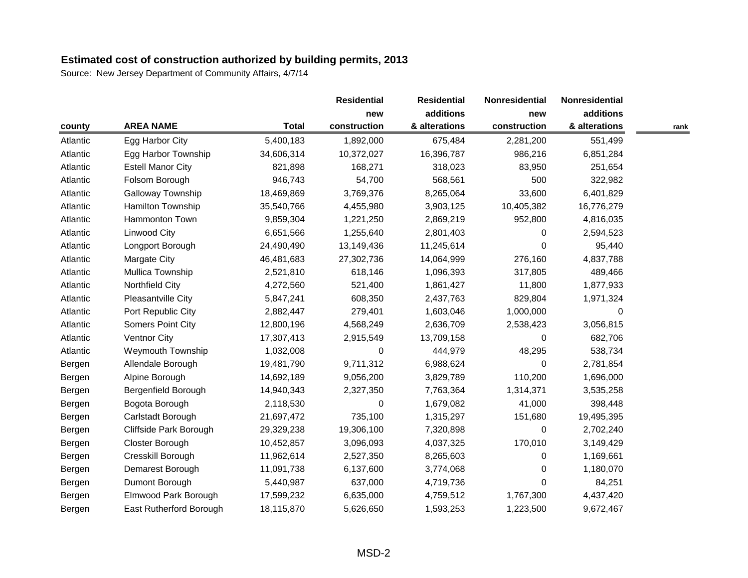|          |                          |              | <b>Residential</b> | <b>Residential</b> | Nonresidential<br>new | Nonresidential |      |
|----------|--------------------------|--------------|--------------------|--------------------|-----------------------|----------------|------|
|          |                          | <b>Total</b> | new                | additions          |                       | additions      |      |
| county   | <b>AREA NAME</b>         |              | construction       | & alterations      | construction          | & alterations  | rank |
| Atlantic | Egg Harbor City          | 5,400,183    | 1,892,000          | 675,484            | 2,281,200             | 551,499        |      |
| Atlantic | Egg Harbor Township      | 34,606,314   | 10,372,027         | 16,396,787         | 986,216               | 6,851,284      |      |
| Atlantic | <b>Estell Manor City</b> | 821,898      | 168,271            | 318,023            | 83,950                | 251,654        |      |
| Atlantic | Folsom Borough           | 946,743      | 54,700             | 568,561            | 500                   | 322,982        |      |
| Atlantic | Galloway Township        | 18,469,869   | 3,769,376          | 8,265,064          | 33,600                | 6,401,829      |      |
| Atlantic | Hamilton Township        | 35,540,766   | 4,455,980          | 3,903,125          | 10,405,382            | 16,776,279     |      |
| Atlantic | Hammonton Town           | 9,859,304    | 1,221,250          | 2,869,219          | 952,800               | 4,816,035      |      |
| Atlantic | Linwood City             | 6,651,566    | 1,255,640          | 2,801,403          | $\Omega$              | 2,594,523      |      |
| Atlantic | Longport Borough         | 24,490,490   | 13,149,436         | 11,245,614         | $\Omega$              | 95,440         |      |
| Atlantic | Margate City             | 46,481,683   | 27,302,736         | 14,064,999         | 276,160               | 4,837,788      |      |
| Atlantic | Mullica Township         | 2,521,810    | 618,146            | 1,096,393          | 317,805               | 489,466        |      |
| Atlantic | Northfield City          | 4,272,560    | 521,400            | 1,861,427          | 11,800                | 1,877,933      |      |
| Atlantic | Pleasantville City       | 5,847,241    | 608,350            | 2,437,763          | 829,804               | 1,971,324      |      |
| Atlantic | Port Republic City       | 2,882,447    | 279,401            | 1,603,046          | 1,000,000             | $\Omega$       |      |
| Atlantic | Somers Point City        | 12,800,196   | 4,568,249          | 2,636,709          | 2,538,423             | 3,056,815      |      |
| Atlantic | <b>Ventnor City</b>      | 17,307,413   | 2,915,549          | 13,709,158         | 0                     | 682,706        |      |
| Atlantic | <b>Weymouth Township</b> | 1,032,008    | 0                  | 444,979            | 48,295                | 538,734        |      |
| Bergen   | Allendale Borough        | 19,481,790   | 9,711,312          | 6,988,624          | 0                     | 2,781,854      |      |
| Bergen   | Alpine Borough           | 14,692,189   | 9,056,200          | 3,829,789          | 110,200               | 1,696,000      |      |
| Bergen   | Bergenfield Borough      | 14,940,343   | 2,327,350          | 7,763,364          | 1,314,371             | 3,535,258      |      |
| Bergen   | Bogota Borough           | 2,118,530    | 0                  | 1,679,082          | 41,000                | 398,448        |      |
| Bergen   | Carlstadt Borough        | 21,697,472   | 735,100            | 1,315,297          | 151,680               | 19,495,395     |      |
| Bergen   | Cliffside Park Borough   | 29,329,238   | 19,306,100         | 7,320,898          | $\pmb{0}$             | 2,702,240      |      |
| Bergen   | Closter Borough          | 10,452,857   | 3,096,093          | 4,037,325          | 170,010               | 3,149,429      |      |
| Bergen   | Cresskill Borough        | 11,962,614   | 2,527,350          | 8,265,603          | $\Omega$              | 1,169,661      |      |
| Bergen   | Demarest Borough         | 11,091,738   | 6,137,600          | 3,774,068          | 0                     | 1,180,070      |      |
| Bergen   | Dumont Borough           | 5,440,987    | 637,000            | 4,719,736          | $\Omega$              | 84,251         |      |
| Bergen   | Elmwood Park Borough     | 17,599,232   | 6,635,000          | 4,759,512          | 1,767,300             | 4,437,420      |      |
| Bergen   | East Rutherford Borough  | 18,115,870   | 5,626,650          | 1,593,253          | 1,223,500             | 9,672,467      |      |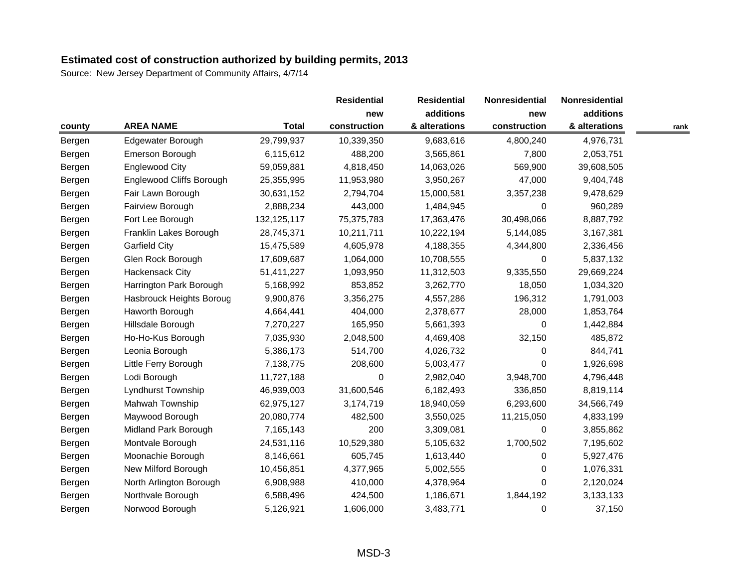|        |                                 |               | <b>Residential</b> | <b>Residential</b> | Nonresidential<br>new | Nonresidential |      |
|--------|---------------------------------|---------------|--------------------|--------------------|-----------------------|----------------|------|
|        |                                 | <b>Total</b>  | new                | additions          |                       | additions      |      |
| county | <b>AREA NAME</b>                |               | construction       | & alterations      | construction          | & alterations  | rank |
| Bergen | Edgewater Borough               | 29,799,937    | 10,339,350         | 9,683,616          | 4,800,240             | 4,976,731      |      |
| Bergen | Emerson Borough                 | 6,115,612     | 488,200            | 3,565,861          | 7,800                 | 2,053,751      |      |
| Bergen | <b>Englewood City</b>           | 59,059,881    | 4,818,450          | 14,063,026         | 569,900               | 39,608,505     |      |
| Bergen | <b>Englewood Cliffs Borough</b> | 25,355,995    | 11,953,980         | 3,950,267          | 47,000                | 9,404,748      |      |
| Bergen | Fair Lawn Borough               | 30,631,152    | 2,794,704          | 15,000,581         | 3,357,238             | 9,478,629      |      |
| Bergen | Fairview Borough                | 2,888,234     | 443,000            | 1,484,945          | 0                     | 960,289        |      |
| Bergen | Fort Lee Borough                | 132, 125, 117 | 75,375,783         | 17,363,476         | 30,498,066            | 8,887,792      |      |
| Bergen | Franklin Lakes Borough          | 28,745,371    | 10,211,711         | 10,222,194         | 5,144,085             | 3,167,381      |      |
| Bergen | <b>Garfield City</b>            | 15,475,589    | 4,605,978          | 4,188,355          | 4,344,800             | 2,336,456      |      |
| Bergen | Glen Rock Borough               | 17,609,687    | 1,064,000          | 10,708,555         | $\Omega$              | 5,837,132      |      |
| Bergen | Hackensack City                 | 51,411,227    | 1,093,950          | 11,312,503         | 9,335,550             | 29,669,224     |      |
| Bergen | Harrington Park Borough         | 5,168,992     | 853,852            | 3,262,770          | 18,050                | 1,034,320      |      |
| Bergen | Hasbrouck Heights Boroug        | 9,900,876     | 3,356,275          | 4,557,286          | 196,312               | 1,791,003      |      |
| Bergen | Haworth Borough                 | 4,664,441     | 404,000            | 2,378,677          | 28,000                | 1,853,764      |      |
| Bergen | Hillsdale Borough               | 7,270,227     | 165,950            | 5,661,393          | $\Omega$              | 1,442,884      |      |
| Bergen | Ho-Ho-Kus Borough               | 7,035,930     | 2,048,500          | 4,469,408          | 32,150                | 485,872        |      |
| Bergen | Leonia Borough                  | 5,386,173     | 514,700            | 4,026,732          | 0                     | 844,741        |      |
| Bergen | Little Ferry Borough            | 7,138,775     | 208,600            | 5,003,477          | $\Omega$              | 1,926,698      |      |
| Bergen | Lodi Borough                    | 11,727,188    | 0                  | 2,982,040          | 3,948,700             | 4,796,448      |      |
| Bergen | Lyndhurst Township              | 46,939,003    | 31,600,546         | 6,182,493          | 336,850               | 8,819,114      |      |
| Bergen | Mahwah Township                 | 62,975,127    | 3,174,719          | 18,940,059         | 6,293,600             | 34,566,749     |      |
| Bergen | Maywood Borough                 | 20,080,774    | 482,500            | 3,550,025          | 11,215,050            | 4,833,199      |      |
| Bergen | Midland Park Borough            | 7,165,143     | 200                | 3,309,081          | 0                     | 3,855,862      |      |
| Bergen | Montvale Borough                | 24,531,116    | 10,529,380         | 5,105,632          | 1,700,502             | 7,195,602      |      |
| Bergen | Moonachie Borough               | 8,146,661     | 605,745            | 1,613,440          | $\Omega$              | 5,927,476      |      |
| Bergen | New Milford Borough             | 10,456,851    | 4,377,965          | 5,002,555          | 0                     | 1,076,331      |      |
| Bergen | North Arlington Borough         | 6,908,988     | 410,000            | 4,378,964          | $\Omega$              | 2,120,024      |      |
| Bergen | Northvale Borough               | 6,588,496     | 424,500            | 1,186,671          | 1,844,192             | 3,133,133      |      |
| Bergen | Norwood Borough                 | 5,126,921     | 1,606,000          | 3,483,771          | 0                     | 37,150         |      |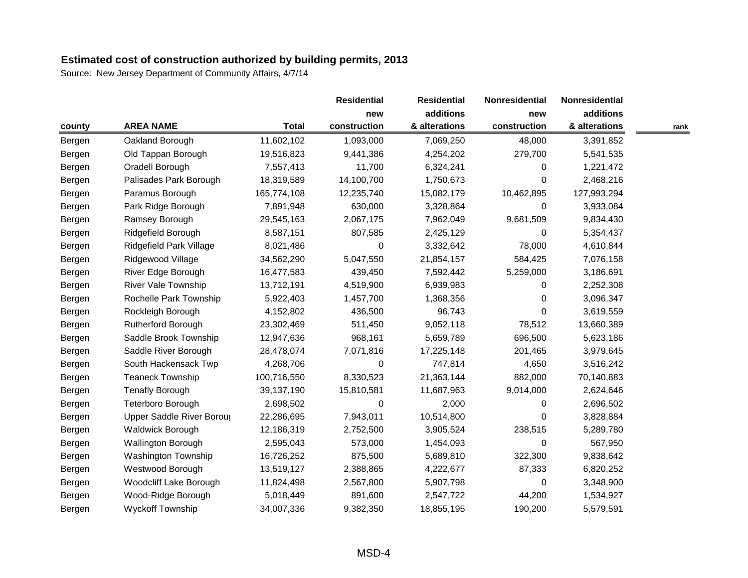|        |                            |              | <b>Residential</b> | <b>Residential</b> | Nonresidential<br>new | Nonresidential |      |
|--------|----------------------------|--------------|--------------------|--------------------|-----------------------|----------------|------|
|        |                            |              | new                | additions          |                       | additions      |      |
| county | <b>AREA NAME</b>           | <b>Total</b> | construction       | & alterations      | construction          | & alterations  | rank |
| Bergen | Oakland Borough            | 11,602,102   | 1,093,000          | 7,069,250          | 48,000                | 3,391,852      |      |
| Bergen | Old Tappan Borough         | 19,516,823   | 9,441,386          | 4,254,202          | 279,700               | 5,541,535      |      |
| Bergen | Oradell Borough            | 7,557,413    | 11,700             | 6,324,241          | $\Omega$              | 1,221,472      |      |
| Bergen | Palisades Park Borough     | 18,319,589   | 14,100,700         | 1,750,673          | $\Omega$              | 2,468,216      |      |
| Bergen | Paramus Borough            | 165,774,108  | 12,235,740         | 15,082,179         | 10,462,895            | 127,993,294    |      |
| Bergen | Park Ridge Borough         | 7,891,948    | 630,000            | 3,328,864          | 0                     | 3,933,084      |      |
| Bergen | Ramsey Borough             | 29,545,163   | 2,067,175          | 7,962,049          | 9,681,509             | 9,834,430      |      |
| Bergen | Ridgefield Borough         | 8,587,151    | 807,585            | 2,425,129          | 0                     | 5,354,437      |      |
| Bergen | Ridgefield Park Village    | 8,021,486    | 0                  | 3,332,642          | 78,000                | 4,610,844      |      |
| Bergen | Ridgewood Village          | 34,562,290   | 5,047,550          | 21,854,157         | 584,425               | 7,076,158      |      |
| Bergen | River Edge Borough         | 16,477,583   | 439,450            | 7,592,442          | 5,259,000             | 3,186,691      |      |
| Bergen | <b>River Vale Township</b> | 13,712,191   | 4,519,900          | 6,939,983          | 0                     | 2,252,308      |      |
| Bergen | Rochelle Park Township     | 5,922,403    | 1,457,700          | 1,368,356          | $\Omega$              | 3,096,347      |      |
| Bergen | Rockleigh Borough          | 4,152,802    | 436,500            | 96,743             | $\Omega$              | 3,619,559      |      |
| Bergen | <b>Rutherford Borough</b>  | 23,302,469   | 511,450            | 9,052,118          | 78,512                | 13,660,389     |      |
| Bergen | Saddle Brook Township      | 12,947,636   | 968,161            | 5,659,789          | 696,500               | 5,623,186      |      |
| Bergen | Saddle River Borough       | 28,478,074   | 7,071,816          | 17,225,148         | 201,465               | 3,979,645      |      |
| Bergen | South Hackensack Twp       | 4,268,706    | 0                  | 747,814            | 4,650                 | 3,516,242      |      |
| Bergen | <b>Teaneck Township</b>    | 100,716,550  | 8,330,523          | 21,363,144         | 882,000               | 70,140,883     |      |
| Bergen | <b>Tenafly Borough</b>     | 39,137,190   | 15,810,581         | 11,687,963         | 9,014,000             | 2,624,646      |      |
| Bergen | Teterboro Borough          | 2,698,502    | 0                  | 2,000              | 0                     | 2,696,502      |      |
| Bergen | Upper Saddle River Boroug  | 22,286,695   | 7,943,011          | 10,514,800         | $\Omega$              | 3,828,884      |      |
| Bergen | <b>Waldwick Borough</b>    | 12,186,319   | 2,752,500          | 3,905,524          | 238,515               | 5,289,780      |      |
| Bergen | Wallington Borough         | 2,595,043    | 573,000            | 1,454,093          | $\pmb{0}$             | 567,950        |      |
| Bergen | <b>Washington Township</b> | 16,726,252   | 875,500            | 5,689,810          | 322,300               | 9,838,642      |      |
| Bergen | Westwood Borough           | 13,519,127   | 2,388,865          | 4,222,677          | 87,333                | 6,820,252      |      |
| Bergen | Woodcliff Lake Borough     | 11,824,498   | 2,567,800          | 5,907,798          | 0                     | 3,348,900      |      |
| Bergen | Wood-Ridge Borough         | 5,018,449    | 891,600            | 2,547,722          | 44,200                | 1,534,927      |      |
| Bergen | <b>Wyckoff Township</b>    | 34,007,336   | 9,382,350          | 18,855,195         | 190,200               | 5,579,591      |      |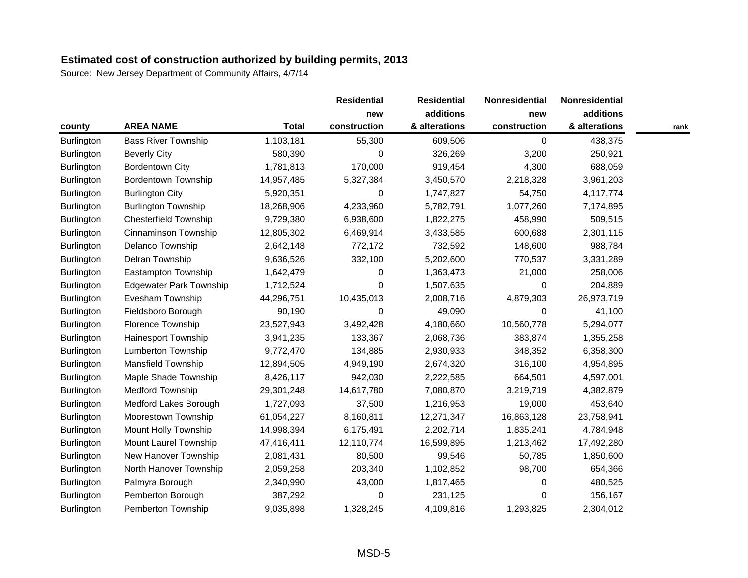|                   |                                |              | <b>Residential</b> | <b>Residential</b> | Nonresidential | Nonresidential |      |
|-------------------|--------------------------------|--------------|--------------------|--------------------|----------------|----------------|------|
|                   |                                |              | new                | additions          | new            | additions      |      |
| county            | <b>AREA NAME</b>               | <b>Total</b> | construction       | & alterations      | construction   | & alterations  | rank |
| <b>Burlington</b> | <b>Bass River Township</b>     | 1,103,181    | 55,300             | 609,506            | 0              | 438,375        |      |
| <b>Burlington</b> | <b>Beverly City</b>            | 580,390      | 0                  | 326,269            | 3,200          | 250,921        |      |
| <b>Burlington</b> | <b>Bordentown City</b>         | 1,781,813    | 170,000            | 919,454            | 4,300          | 688,059        |      |
| <b>Burlington</b> | <b>Bordentown Township</b>     | 14,957,485   | 5,327,384          | 3,450,570          | 2,218,328      | 3,961,203      |      |
| Burlington        | <b>Burlington City</b>         | 5,920,351    | 0                  | 1,747,827          | 54,750         | 4,117,774      |      |
| Burlington        | <b>Burlington Township</b>     | 18,268,906   | 4,233,960          | 5,782,791          | 1,077,260      | 7,174,895      |      |
| <b>Burlington</b> | <b>Chesterfield Township</b>   | 9,729,380    | 6,938,600          | 1,822,275          | 458,990        | 509,515        |      |
| <b>Burlington</b> | Cinnaminson Township           | 12,805,302   | 6,469,914          | 3,433,585          | 600,688        | 2,301,115      |      |
| Burlington        | Delanco Township               | 2,642,148    | 772,172            | 732,592            | 148,600        | 988,784        |      |
| Burlington        | Delran Township                | 9,636,526    | 332,100            | 5,202,600          | 770,537        | 3,331,289      |      |
| Burlington        | Eastampton Township            | 1,642,479    | 0                  | 1,363,473          | 21,000         | 258,006        |      |
| <b>Burlington</b> | <b>Edgewater Park Township</b> | 1,712,524    | 0                  | 1,507,635          | 0              | 204,889        |      |
| <b>Burlington</b> | Evesham Township               | 44,296,751   | 10,435,013         | 2,008,716          | 4,879,303      | 26,973,719     |      |
| <b>Burlington</b> | Fieldsboro Borough             | 90,190       | 0                  | 49,090             | $\Omega$       | 41,100         |      |
| Burlington        | Florence Township              | 23,527,943   | 3,492,428          | 4,180,660          | 10,560,778     | 5,294,077      |      |
| <b>Burlington</b> | <b>Hainesport Township</b>     | 3,941,235    | 133,367            | 2,068,736          | 383,874        | 1,355,258      |      |
| Burlington        | <b>Lumberton Township</b>      | 9,772,470    | 134,885            | 2,930,933          | 348,352        | 6,358,300      |      |
| Burlington        | <b>Mansfield Township</b>      | 12,894,505   | 4,949,190          | 2,674,320          | 316,100        | 4,954,895      |      |
| <b>Burlington</b> | Maple Shade Township           | 8,426,117    | 942,030            | 2,222,585          | 664,501        | 4,597,001      |      |
| <b>Burlington</b> | Medford Township               | 29,301,248   | 14,617,780         | 7,080,870          | 3,219,719      | 4,382,879      |      |
| <b>Burlington</b> | <b>Medford Lakes Borough</b>   | 1,727,093    | 37,500             | 1,216,953          | 19,000         | 453,640        |      |
| Burlington        | Moorestown Township            | 61,054,227   | 8,160,811          | 12,271,347         | 16,863,128     | 23,758,941     |      |
| Burlington        | Mount Holly Township           | 14,998,394   | 6,175,491          | 2,202,714          | 1,835,241      | 4,784,948      |      |
| <b>Burlington</b> | Mount Laurel Township          | 47,416,411   | 12,110,774         | 16,599,895         | 1,213,462      | 17,492,280     |      |
| <b>Burlington</b> | New Hanover Township           | 2,081,431    | 80,500             | 99,546             | 50,785         | 1,850,600      |      |
| Burlington        | North Hanover Township         | 2,059,258    | 203,340            | 1,102,852          | 98,700         | 654,366        |      |
| Burlington        | Palmyra Borough                | 2,340,990    | 43,000             | 1,817,465          | 0              | 480,525        |      |
| Burlington        | Pemberton Borough              | 387,292      | 0                  | 231,125            | $\Omega$       | 156,167        |      |
| <b>Burlington</b> | Pemberton Township             | 9,035,898    | 1,328,245          | 4,109,816          | 1,293,825      | 2,304,012      |      |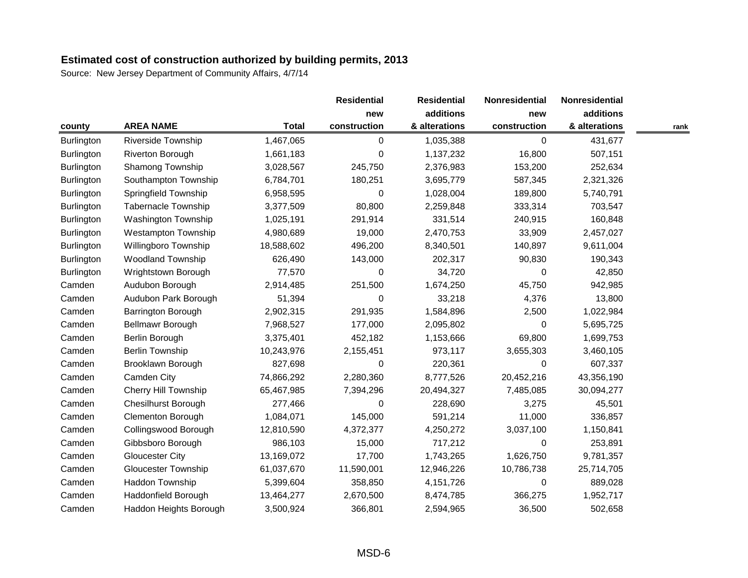|                   |                             |              | <b>Residential</b> | <b>Residential</b> | Nonresidential | Nonresidential |      |
|-------------------|-----------------------------|--------------|--------------------|--------------------|----------------|----------------|------|
|                   |                             |              | new                | additions          | new            | additions      |      |
| county            | <b>AREA NAME</b>            | <b>Total</b> | construction       | & alterations      | construction   | & alterations  | rank |
| <b>Burlington</b> | Riverside Township          | 1,467,065    | 0                  | 1,035,388          | 0              | 431,677        |      |
| <b>Burlington</b> | Riverton Borough            | 1,661,183    | 0                  | 1,137,232          | 16,800         | 507,151        |      |
| Burlington        | Shamong Township            | 3,028,567    | 245,750            | 2,376,983          | 153,200        | 252,634        |      |
| Burlington        | Southampton Township        | 6,784,701    | 180,251            | 3,695,779          | 587,345        | 2,321,326      |      |
| <b>Burlington</b> | Springfield Township        | 6,958,595    | 0                  | 1,028,004          | 189,800        | 5,740,791      |      |
| Burlington        | Tabernacle Township         | 3,377,509    | 80,800             | 2,259,848          | 333,314        | 703,547        |      |
| Burlington        | <b>Washington Township</b>  | 1,025,191    | 291,914            | 331,514            | 240,915        | 160,848        |      |
| Burlington        | <b>Westampton Township</b>  | 4,980,689    | 19,000             | 2,470,753          | 33,909         | 2,457,027      |      |
| Burlington        | Willingboro Township        | 18,588,602   | 496,200            | 8,340,501          | 140,897        | 9,611,004      |      |
| Burlington        | <b>Woodland Township</b>    | 626,490      | 143,000            | 202,317            | 90,830         | 190,343        |      |
| <b>Burlington</b> | Wrightstown Borough         | 77,570       | 0                  | 34,720             | $\Omega$       | 42,850         |      |
| Camden            | Audubon Borough             | 2,914,485    | 251,500            | 1,674,250          | 45,750         | 942,985        |      |
| Camden            | Audubon Park Borough        | 51,394       | 0                  | 33,218             | 4,376          | 13,800         |      |
| Camden            | Barrington Borough          | 2,902,315    | 291,935            | 1,584,896          | 2,500          | 1,022,984      |      |
| Camden            | Bellmawr Borough            | 7,968,527    | 177,000            | 2,095,802          | $\Omega$       | 5,695,725      |      |
| Camden            | Berlin Borough              | 3,375,401    | 452,182            | 1,153,666          | 69,800         | 1,699,753      |      |
| Camden            | Berlin Township             | 10,243,976   | 2,155,451          | 973,117            | 3,655,303      | 3,460,105      |      |
| Camden            | Brooklawn Borough           | 827,698      | 0                  | 220,361            | 0              | 607,337        |      |
| Camden            | Camden City                 | 74,866,292   | 2,280,360          | 8,777,526          | 20,452,216     | 43,356,190     |      |
| Camden            | <b>Cherry Hill Township</b> | 65,467,985   | 7,394,296          | 20,494,327         | 7,485,085      | 30,094,277     |      |
| Camden            | <b>Chesilhurst Borough</b>  | 277,466      | 0                  | 228,690            | 3,275          | 45,501         |      |
| Camden            | <b>Clementon Borough</b>    | 1,084,071    | 145,000            | 591,214            | 11,000         | 336,857        |      |
| Camden            | Collingswood Borough        | 12,810,590   | 4,372,377          | 4,250,272          | 3,037,100      | 1,150,841      |      |
| Camden            | Gibbsboro Borough           | 986,103      | 15,000             | 717,212            | 0              | 253,891        |      |
| Camden            | <b>Gloucester City</b>      | 13,169,072   | 17,700             | 1,743,265          | 1,626,750      | 9,781,357      |      |
| Camden            | <b>Gloucester Township</b>  | 61,037,670   | 11,590,001         | 12,946,226         | 10,786,738     | 25,714,705     |      |
| Camden            | Haddon Township             | 5,399,604    | 358,850            | 4,151,726          | 0              | 889,028        |      |
| Camden            | Haddonfield Borough         | 13,464,277   | 2,670,500          | 8,474,785          | 366,275        | 1,952,717      |      |
| Camden            | Haddon Heights Borough      | 3,500,924    | 366,801            | 2,594,965          | 36,500         | 502,658        |      |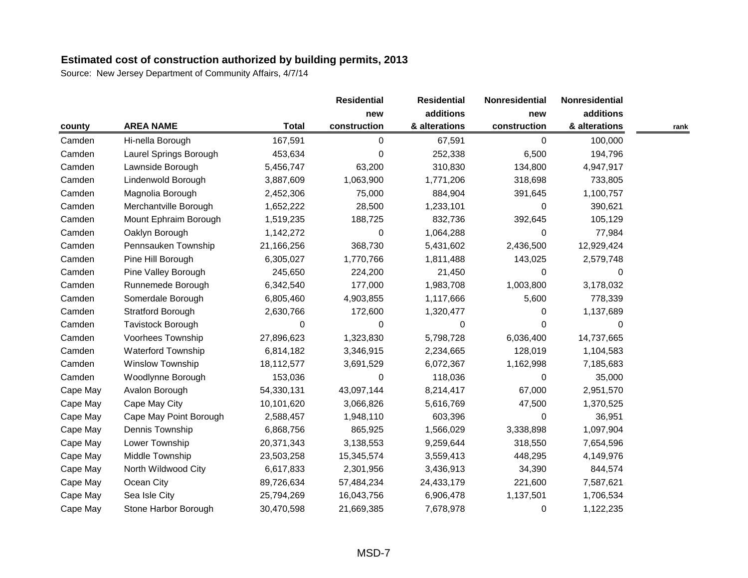|          |                           |              | <b>Residential</b> | <b>Residential</b> | Nonresidential   | Nonresidential |      |
|----------|---------------------------|--------------|--------------------|--------------------|------------------|----------------|------|
|          |                           |              | new                | additions          | new              | additions      |      |
| county   | <b>AREA NAME</b>          | <b>Total</b> | construction       | & alterations      | construction     | & alterations  | rank |
| Camden   | Hi-nella Borough          | 167,591      | 0                  | 67,591             | $\boldsymbol{0}$ | 100,000        |      |
| Camden   | Laurel Springs Borough    | 453,634      | 0                  | 252,338            | 6,500            | 194,796        |      |
| Camden   | Lawnside Borough          | 5,456,747    | 63,200             | 310,830            | 134,800          | 4,947,917      |      |
| Camden   | Lindenwold Borough        | 3,887,609    | 1,063,900          | 1,771,206          | 318,698          | 733,805        |      |
| Camden   | Magnolia Borough          | 2,452,306    | 75,000             | 884,904            | 391,645          | 1,100,757      |      |
| Camden   | Merchantville Borough     | 1,652,222    | 28,500             | 1,233,101          | 0                | 390,621        |      |
| Camden   | Mount Ephraim Borough     | 1,519,235    | 188,725            | 832,736            | 392,645          | 105,129        |      |
| Camden   | Oaklyn Borough            | 1,142,272    | 0                  | 1,064,288          | $\Omega$         | 77,984         |      |
| Camden   | Pennsauken Township       | 21,166,256   | 368,730            | 5,431,602          | 2,436,500        | 12,929,424     |      |
| Camden   | Pine Hill Borough         | 6,305,027    | 1,770,766          | 1,811,488          | 143,025          | 2,579,748      |      |
| Camden   | Pine Valley Borough       | 245,650      | 224,200            | 21,450             | 0                | 0              |      |
| Camden   | Runnemede Borough         | 6,342,540    | 177,000            | 1,983,708          | 1,003,800        | 3,178,032      |      |
| Camden   | Somerdale Borough         | 6,805,460    | 4,903,855          | 1,117,666          | 5,600            | 778,339        |      |
| Camden   | <b>Stratford Borough</b>  | 2,630,766    | 172,600            | 1,320,477          | 0                | 1,137,689      |      |
| Camden   | Tavistock Borough         | 0            | 0                  | 0                  | $\Omega$         | $\Omega$       |      |
| Camden   | Voorhees Township         | 27,896,623   | 1,323,830          | 5,798,728          | 6,036,400        | 14,737,665     |      |
| Camden   | <b>Waterford Township</b> | 6,814,182    | 3,346,915          | 2,234,665          | 128,019          | 1,104,583      |      |
| Camden   | <b>Winslow Township</b>   | 18,112,577   | 3,691,529          | 6,072,367          | 1,162,998        | 7,185,683      |      |
| Camden   | Woodlynne Borough         | 153,036      | 0                  | 118,036            | 0                | 35,000         |      |
| Cape May | Avalon Borough            | 54,330,131   | 43,097,144         | 8,214,417          | 67,000           | 2,951,570      |      |
| Cape May | Cape May City             | 10,101,620   | 3,066,826          | 5,616,769          | 47,500           | 1,370,525      |      |
| Cape May | Cape May Point Borough    | 2,588,457    | 1,948,110          | 603,396            | $\Omega$         | 36,951         |      |
| Cape May | Dennis Township           | 6,868,756    | 865,925            | 1,566,029          | 3,338,898        | 1,097,904      |      |
| Cape May | Lower Township            | 20,371,343   | 3,138,553          | 9,259,644          | 318,550          | 7,654,596      |      |
| Cape May | Middle Township           | 23,503,258   | 15,345,574         | 3,559,413          | 448,295          | 4,149,976      |      |
| Cape May | North Wildwood City       | 6,617,833    | 2,301,956          | 3,436,913          | 34,390           | 844,574        |      |
| Cape May | Ocean City                | 89,726,634   | 57,484,234         | 24,433,179         | 221,600          | 7,587,621      |      |
| Cape May | Sea Isle City             | 25,794,269   | 16,043,756         | 6,906,478          | 1,137,501        | 1,706,534      |      |
| Cape May | Stone Harbor Borough      | 30,470,598   | 21,669,385         | 7,678,978          | 0                | 1,122,235      |      |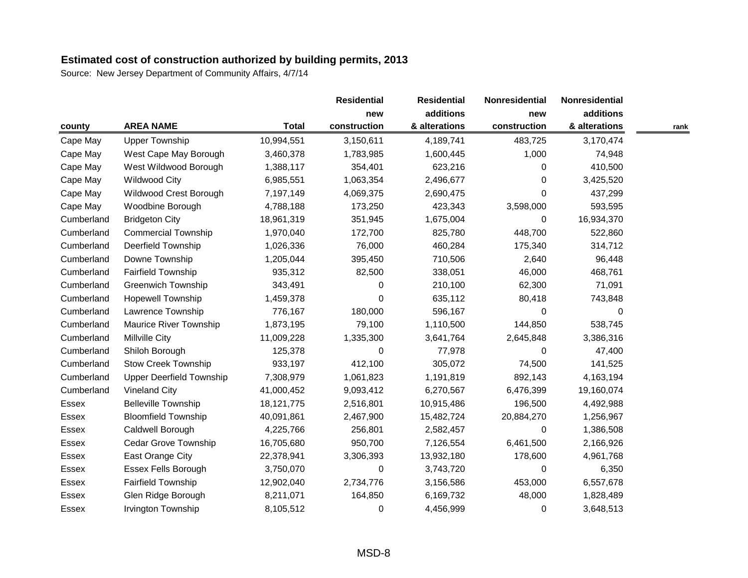|              |                                 |              | <b>Residential</b> | <b>Residential</b> | Nonresidential<br>new | Nonresidential |      |
|--------------|---------------------------------|--------------|--------------------|--------------------|-----------------------|----------------|------|
|              |                                 |              | new                | additions          |                       | additions      |      |
| county       | <b>AREA NAME</b>                | <b>Total</b> | construction       | & alterations      | construction          | & alterations  | rank |
| Cape May     | <b>Upper Township</b>           | 10,994,551   | 3,150,611          | 4,189,741          | 483,725               | 3,170,474      |      |
| Cape May     | West Cape May Borough           | 3,460,378    | 1,783,985          | 1,600,445          | 1,000                 | 74,948         |      |
| Cape May     | West Wildwood Borough           | 1,388,117    | 354,401            | 623,216            | $\Omega$              | 410,500        |      |
| Cape May     | <b>Wildwood City</b>            | 6,985,551    | 1,063,354          | 2,496,677          | $\Omega$              | 3,425,520      |      |
| Cape May     | Wildwood Crest Borough          | 7,197,149    | 4,069,375          | 2,690,475          | $\Omega$              | 437,299        |      |
| Cape May     | Woodbine Borough                | 4,788,188    | 173,250            | 423,343            | 3,598,000             | 593,595        |      |
| Cumberland   | <b>Bridgeton City</b>           | 18,961,319   | 351,945            | 1,675,004          | 0                     | 16,934,370     |      |
| Cumberland   | <b>Commercial Township</b>      | 1,970,040    | 172,700            | 825,780            | 448,700               | 522,860        |      |
| Cumberland   | Deerfield Township              | 1,026,336    | 76,000             | 460,284            | 175,340               | 314,712        |      |
| Cumberland   | Downe Township                  | 1,205,044    | 395,450            | 710,506            | 2,640                 | 96,448         |      |
| Cumberland   | Fairfield Township              | 935,312      | 82,500             | 338,051            | 46,000                | 468,761        |      |
| Cumberland   | <b>Greenwich Township</b>       | 343,491      | 0                  | 210,100            | 62,300                | 71,091         |      |
| Cumberland   | <b>Hopewell Township</b>        | 1,459,378    | 0                  | 635,112            | 80,418                | 743,848        |      |
| Cumberland   | Lawrence Township               | 776,167      | 180,000            | 596,167            | 0                     | 0              |      |
| Cumberland   | <b>Maurice River Township</b>   | 1,873,195    | 79,100             | 1,110,500          | 144,850               | 538,745        |      |
| Cumberland   | Millville City                  | 11,009,228   | 1,335,300          | 3,641,764          | 2,645,848             | 3,386,316      |      |
| Cumberland   | Shiloh Borough                  | 125,378      | 0                  | 77,978             | 0                     | 47,400         |      |
| Cumberland   | <b>Stow Creek Township</b>      | 933,197      | 412,100            | 305,072            | 74,500                | 141,525        |      |
| Cumberland   | <b>Upper Deerfield Township</b> | 7,308,979    | 1,061,823          | 1,191,819          | 892,143               | 4,163,194      |      |
| Cumberland   | <b>Vineland City</b>            | 41,000,452   | 9,093,412          | 6,270,567          | 6,476,399             | 19,160,074     |      |
| <b>Essex</b> | <b>Belleville Township</b>      | 18, 121, 775 | 2,516,801          | 10,915,486         | 196,500               | 4,492,988      |      |
| Essex        | <b>Bloomfield Township</b>      | 40,091,861   | 2,467,900          | 15,482,724         | 20,884,270            | 1,256,967      |      |
| Essex        | Caldwell Borough                | 4,225,766    | 256,801            | 2,582,457          | $\pmb{0}$             | 1,386,508      |      |
| Essex        | Cedar Grove Township            | 16,705,680   | 950,700            | 7,126,554          | 6,461,500             | 2,166,926      |      |
| Essex        | East Orange City                | 22,378,941   | 3,306,393          | 13,932,180         | 178,600               | 4,961,768      |      |
| <b>Essex</b> | Essex Fells Borough             | 3,750,070    | 0                  | 3,743,720          | $\Omega$              | 6,350          |      |
| Essex        | <b>Fairfield Township</b>       | 12,902,040   | 2,734,776          | 3,156,586          | 453,000               | 6,557,678      |      |
| <b>Essex</b> | Glen Ridge Borough              | 8,211,071    | 164,850            | 6,169,732          | 48,000                | 1,828,489      |      |
| Essex        | Irvington Township              | 8,105,512    | 0                  | 4,456,999          | $\Omega$              | 3,648,513      |      |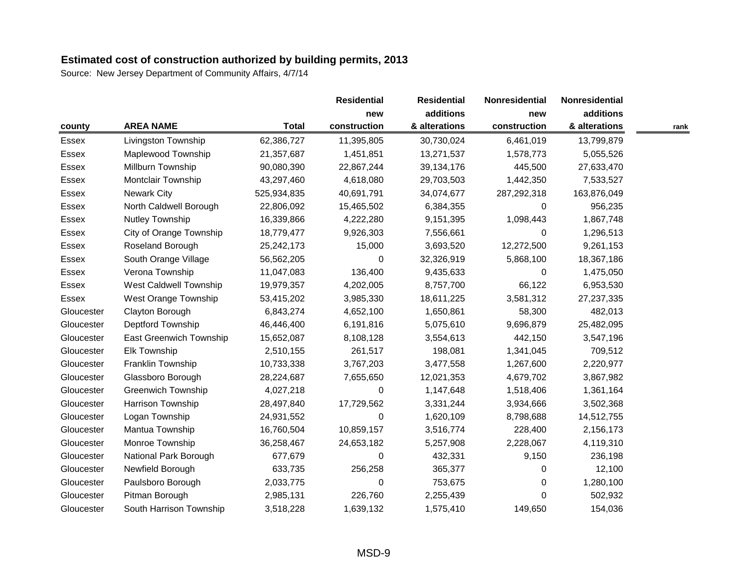|              |                               |              | <b>Residential</b> | <b>Residential</b> | Nonresidential<br>new | Nonresidential |      |
|--------------|-------------------------------|--------------|--------------------|--------------------|-----------------------|----------------|------|
|              |                               |              | new                | additions          |                       | additions      |      |
| county       | <b>AREA NAME</b>              | <b>Total</b> | construction       | & alterations      | construction          | & alterations  | rank |
| Essex        | Livingston Township           | 62,386,727   | 11,395,805         | 30,730,024         | 6,461,019             | 13,799,879     |      |
| Essex        | Maplewood Township            | 21,357,687   | 1,451,851          | 13,271,537         | 1,578,773             | 5,055,526      |      |
| Essex        | Millburn Township             | 90,080,390   | 22,867,244         | 39,134,176         | 445,500               | 27,633,470     |      |
| <b>Essex</b> | Montclair Township            | 43,297,460   | 4,618,080          | 29,703,503         | 1,442,350             | 7,533,527      |      |
| Essex        | <b>Newark City</b>            | 525,934,835  | 40,691,791         | 34,074,677         | 287,292,318           | 163,876,049    |      |
| <b>Essex</b> | North Caldwell Borough        | 22,806,092   | 15,465,502         | 6,384,355          | 0                     | 956,235        |      |
| Essex        | Nutley Township               | 16,339,866   | 4,222,280          | 9,151,395          | 1,098,443             | 1,867,748      |      |
| Essex        | City of Orange Township       | 18,779,477   | 9,926,303          | 7,556,661          | $\Omega$              | 1,296,513      |      |
| Essex        | Roseland Borough              | 25,242,173   | 15,000             | 3,693,520          | 12,272,500            | 9,261,153      |      |
| Essex        | South Orange Village          | 56,562,205   | 0                  | 32,326,919         | 5,868,100             | 18,367,186     |      |
| Essex        | Verona Township               | 11,047,083   | 136,400            | 9,435,633          | $\Omega$              | 1,475,050      |      |
| Essex        | <b>West Caldwell Township</b> | 19,979,357   | 4,202,005          | 8,757,700          | 66,122                | 6,953,530      |      |
| Essex        | West Orange Township          | 53,415,202   | 3,985,330          | 18,611,225         | 3,581,312             | 27,237,335     |      |
| Gloucester   | Clayton Borough               | 6,843,274    | 4,652,100          | 1,650,861          | 58,300                | 482,013        |      |
| Gloucester   | Deptford Township             | 46,446,400   | 6,191,816          | 5,075,610          | 9,696,879             | 25,482,095     |      |
| Gloucester   | East Greenwich Township       | 15,652,087   | 8,108,128          | 3,554,613          | 442,150               | 3,547,196      |      |
| Gloucester   | Elk Township                  | 2,510,155    | 261,517            | 198,081            | 1,341,045             | 709,512        |      |
| Gloucester   | Franklin Township             | 10,733,338   | 3,767,203          | 3,477,558          | 1,267,600             | 2,220,977      |      |
| Gloucester   | Glassboro Borough             | 28,224,687   | 7,655,650          | 12,021,353         | 4,679,702             | 3,867,982      |      |
| Gloucester   | <b>Greenwich Township</b>     | 4,027,218    | 0                  | 1,147,648          | 1,518,406             | 1,361,164      |      |
| Gloucester   | Harrison Township             | 28,497,840   | 17,729,562         | 3,331,244          | 3,934,666             | 3,502,368      |      |
| Gloucester   | Logan Township                | 24,931,552   | 0                  | 1,620,109          | 8,798,688             | 14,512,755     |      |
| Gloucester   | Mantua Township               | 16,760,504   | 10,859,157         | 3,516,774          | 228,400               | 2,156,173      |      |
| Gloucester   | Monroe Township               | 36,258,467   | 24,653,182         | 5,257,908          | 2,228,067             | 4,119,310      |      |
| Gloucester   | National Park Borough         | 677,679      | 0                  | 432,331            | 9,150                 | 236,198        |      |
| Gloucester   | Newfield Borough              | 633,735      | 256,258            | 365,377            | 0                     | 12,100         |      |
| Gloucester   | Paulsboro Borough             | 2,033,775    | 0                  | 753,675            | $\Omega$              | 1,280,100      |      |
| Gloucester   | Pitman Borough                | 2,985,131    | 226,760            | 2,255,439          | $\Omega$              | 502,932        |      |
| Gloucester   | South Harrison Township       | 3,518,228    | 1,639,132          | 1,575,410          | 149,650               | 154,036        |      |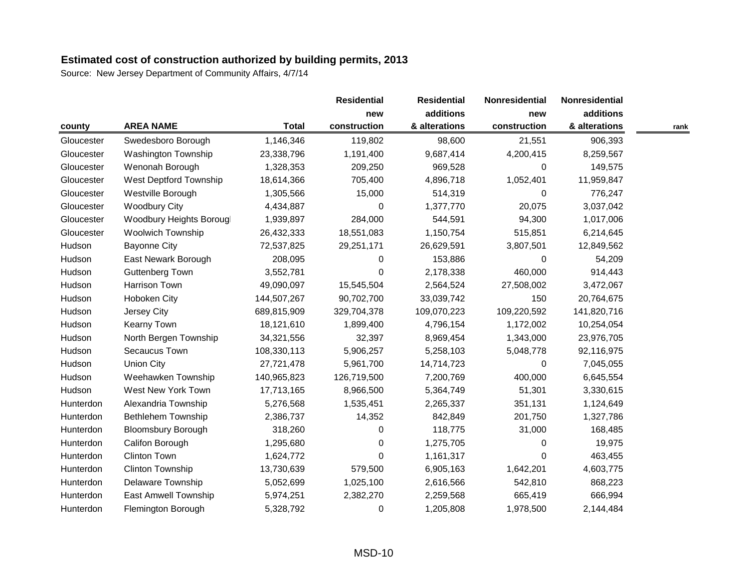|            |                             |              | <b>Residential</b> | <b>Residential</b> | Nonresidential | Nonresidential |      |
|------------|-----------------------------|--------------|--------------------|--------------------|----------------|----------------|------|
|            |                             |              | new                | additions          | new            | additions      |      |
| county     | <b>AREA NAME</b>            | <b>Total</b> | construction       | & alterations      | construction   | & alterations  | rank |
| Gloucester | Swedesboro Borough          | 1,146,346    | 119,802            | 98,600             | 21,551         | 906,393        |      |
| Gloucester | Washington Township         | 23,338,796   | 1,191,400          | 9,687,414          | 4,200,415      | 8,259,567      |      |
| Gloucester | Wenonah Borough             | 1,328,353    | 209,250            | 969,528            | 0              | 149,575        |      |
| Gloucester | West Deptford Township      | 18,614,366   | 705,400            | 4,896,718          | 1,052,401      | 11,959,847     |      |
| Gloucester | Westville Borough           | 1,305,566    | 15,000             | 514,319            | $\Omega$       | 776,247        |      |
| Gloucester | <b>Woodbury City</b>        | 4,434,887    | 0                  | 1,377,770          | 20,075         | 3,037,042      |      |
| Gloucester | Woodbury Heights Borougl    | 1,939,897    | 284,000            | 544,591            | 94,300         | 1,017,006      |      |
| Gloucester | <b>Woolwich Township</b>    | 26,432,333   | 18,551,083         | 1,150,754          | 515,851        | 6,214,645      |      |
| Hudson     | <b>Bayonne City</b>         | 72,537,825   | 29,251,171         | 26,629,591         | 3,807,501      | 12,849,562     |      |
| Hudson     | East Newark Borough         | 208,095      | 0                  | 153,886            | $\Omega$       | 54,209         |      |
| Hudson     | <b>Guttenberg Town</b>      | 3,552,781    | 0                  | 2,178,338          | 460,000        | 914,443        |      |
| Hudson     | Harrison Town               | 49,090,097   | 15,545,504         | 2,564,524          | 27,508,002     | 3,472,067      |      |
| Hudson     | <b>Hoboken City</b>         | 144,507,267  | 90,702,700         | 33,039,742         | 150            | 20,764,675     |      |
| Hudson     | Jersey City                 | 689,815,909  | 329,704,378        | 109,070,223        | 109,220,592    | 141,820,716    |      |
| Hudson     | Kearny Town                 | 18,121,610   | 1,899,400          | 4,796,154          | 1,172,002      | 10,254,054     |      |
| Hudson     | North Bergen Township       | 34,321,556   | 32,397             | 8,969,454          | 1,343,000      | 23,976,705     |      |
| Hudson     | Secaucus Town               | 108,330,113  | 5,906,257          | 5,258,103          | 5,048,778      | 92,116,975     |      |
| Hudson     | <b>Union City</b>           | 27,721,478   | 5,961,700          | 14,714,723         | 0              | 7,045,055      |      |
| Hudson     | Weehawken Township          | 140,965,823  | 126,719,500        | 7,200,769          | 400,000        | 6,645,554      |      |
| Hudson     | West New York Town          | 17,713,165   | 8,966,500          | 5,364,749          | 51,301         | 3,330,615      |      |
| Hunterdon  | Alexandria Township         | 5,276,568    | 1,535,451          | 2,265,337          | 351,131        | 1,124,649      |      |
| Hunterdon  | <b>Bethlehem Township</b>   | 2,386,737    | 14,352             | 842,849            | 201,750        | 1,327,786      |      |
| Hunterdon  | <b>Bloomsbury Borough</b>   | 318,260      | 0                  | 118,775            | 31,000         | 168,485        |      |
| Hunterdon  | Califon Borough             | 1,295,680    | 0                  | 1,275,705          | 0              | 19,975         |      |
| Hunterdon  | Clinton Town                | 1,624,772    | 0                  | 1,161,317          | $\Omega$       | 463,455        |      |
| Hunterdon  | <b>Clinton Township</b>     | 13,730,639   | 579,500            | 6,905,163          | 1,642,201      | 4,603,775      |      |
| Hunterdon  | Delaware Township           | 5,052,699    | 1,025,100          | 2,616,566          | 542,810        | 868,223        |      |
| Hunterdon  | <b>East Amwell Township</b> | 5,974,251    | 2,382,270          | 2,259,568          | 665,419        | 666,994        |      |
| Hunterdon  | Flemington Borough          | 5,328,792    | 0                  | 1,205,808          | 1,978,500      | 2,144,484      |      |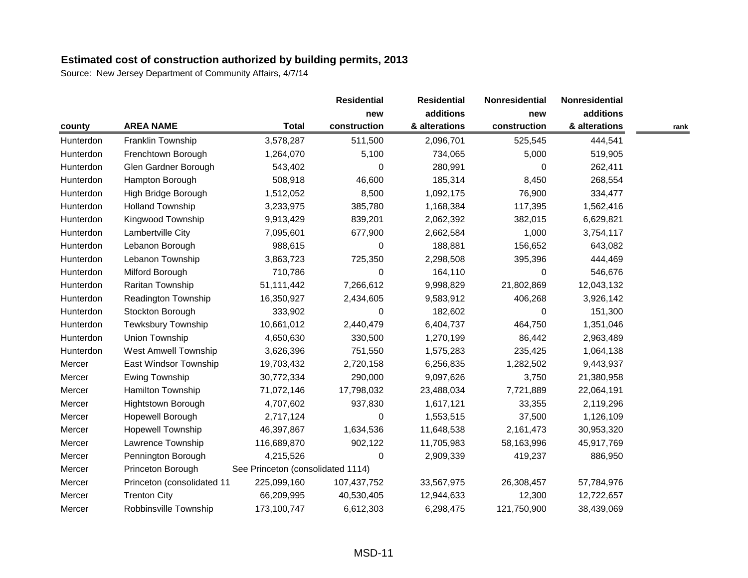|           |                             |                                   | <b>Residential</b> | <b>Residential</b> | Nonresidential | Nonresidential |      |
|-----------|-----------------------------|-----------------------------------|--------------------|--------------------|----------------|----------------|------|
|           |                             |                                   | new                | additions          | new            | additions      |      |
| county    | <b>AREA NAME</b>            | <b>Total</b>                      | construction       | & alterations      | construction   | & alterations  | rank |
| Hunterdon | Franklin Township           | 3,578,287                         | 511,500            | 2,096,701          | 525,545        | 444,541        |      |
| Hunterdon | Frenchtown Borough          | 1,264,070                         | 5,100              | 734,065            | 5,000          | 519,905        |      |
| Hunterdon | Glen Gardner Borough        | 543,402                           | 0                  | 280,991            | 0              | 262,411        |      |
| Hunterdon | Hampton Borough             | 508,918                           | 46,600             | 185,314            | 8,450          | 268,554        |      |
| Hunterdon | High Bridge Borough         | 1,512,052                         | 8,500              | 1,092,175          | 76,900         | 334,477        |      |
| Hunterdon | <b>Holland Township</b>     | 3,233,975                         | 385,780            | 1,168,384          | 117,395        | 1,562,416      |      |
| Hunterdon | Kingwood Township           | 9,913,429                         | 839,201            | 2,062,392          | 382,015        | 6,629,821      |      |
| Hunterdon | Lambertville City           | 7,095,601                         | 677,900            | 2,662,584          | 1,000          | 3,754,117      |      |
| Hunterdon | Lebanon Borough             | 988,615                           | 0                  | 188,881            | 156,652        | 643,082        |      |
| Hunterdon | Lebanon Township            | 3,863,723                         | 725,350            | 2,298,508          | 395,396        | 444,469        |      |
| Hunterdon | Milford Borough             | 710,786                           | 0                  | 164,110            | 0              | 546,676        |      |
| Hunterdon | Raritan Township            | 51,111,442                        | 7,266,612          | 9,998,829          | 21,802,869     | 12,043,132     |      |
| Hunterdon | <b>Readington Township</b>  | 16,350,927                        | 2,434,605          | 9,583,912          | 406,268        | 3,926,142      |      |
| Hunterdon | Stockton Borough            | 333,902                           | 0                  | 182,602            | $\Omega$       | 151,300        |      |
| Hunterdon | <b>Tewksbury Township</b>   | 10,661,012                        | 2,440,479          | 6,404,737          | 464,750        | 1,351,046      |      |
| Hunterdon | Union Township              | 4,650,630                         | 330,500            | 1,270,199          | 86,442         | 2,963,489      |      |
| Hunterdon | <b>West Amwell Township</b> | 3,626,396                         | 751,550            | 1,575,283          | 235,425        | 1,064,138      |      |
| Mercer    | East Windsor Township       | 19,703,432                        | 2,720,158          | 6,256,835          | 1,282,502      | 9,443,937      |      |
| Mercer    | <b>Ewing Township</b>       | 30,772,334                        | 290,000            | 9,097,626          | 3,750          | 21,380,958     |      |
| Mercer    | Hamilton Township           | 71,072,146                        | 17,798,032         | 23,488,034         | 7,721,889      | 22,064,191     |      |
| Mercer    | <b>Hightstown Borough</b>   | 4,707,602                         | 937,830            | 1,617,121          | 33,355         | 2,119,296      |      |
| Mercer    | Hopewell Borough            | 2,717,124                         | 0                  | 1,553,515          | 37,500         | 1,126,109      |      |
| Mercer    | <b>Hopewell Township</b>    | 46,397,867                        | 1,634,536          | 11,648,538         | 2,161,473      | 30,953,320     |      |
| Mercer    | Lawrence Township           | 116,689,870                       | 902,122            | 11,705,983         | 58,163,996     | 45,917,769     |      |
| Mercer    | Pennington Borough          | 4,215,526                         | 0                  | 2,909,339          | 419,237        | 886,950        |      |
| Mercer    | Princeton Borough           | See Princeton (consolidated 1114) |                    |                    |                |                |      |
| Mercer    | Princeton (consolidated 11  | 225,099,160                       | 107,437,752        | 33,567,975         | 26,308,457     | 57,784,976     |      |
| Mercer    | <b>Trenton City</b>         | 66,209,995                        | 40,530,405         | 12,944,633         | 12,300         | 12,722,657     |      |
| Mercer    | Robbinsville Township       | 173,100,747                       | 6,612,303          | 6,298,475          | 121,750,900    | 38,439,069     |      |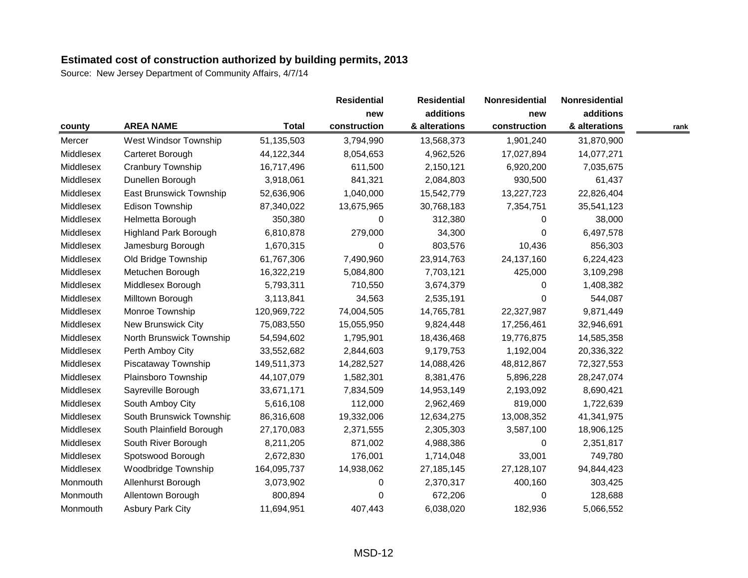|           |                              |              | <b>Residential</b> | <b>Residential</b> | Nonresidential | Nonresidential |      |
|-----------|------------------------------|--------------|--------------------|--------------------|----------------|----------------|------|
|           |                              |              | new                | additions          | new            | additions      |      |
| county    | <b>AREA NAME</b>             | <b>Total</b> | construction       | & alterations      | construction   | & alterations  | rank |
| Mercer    | West Windsor Township        | 51,135,503   | 3,794,990          | 13,568,373         | 1,901,240      | 31,870,900     |      |
| Middlesex | Carteret Borough             | 44,122,344   | 8,054,653          | 4,962,526          | 17,027,894     | 14,077,271     |      |
| Middlesex | Cranbury Township            | 16,717,496   | 611,500            | 2,150,121          | 6,920,200      | 7,035,675      |      |
| Middlesex | Dunellen Borough             | 3,918,061    | 841,321            | 2,084,803          | 930,500        | 61,437         |      |
| Middlesex | East Brunswick Township      | 52,636,906   | 1,040,000          | 15,542,779         | 13,227,723     | 22,826,404     |      |
| Middlesex | <b>Edison Township</b>       | 87,340,022   | 13,675,965         | 30,768,183         | 7,354,751      | 35,541,123     |      |
| Middlesex | Helmetta Borough             | 350,380      | 0                  | 312,380            | 0              | 38,000         |      |
| Middlesex | <b>Highland Park Borough</b> | 6,810,878    | 279,000            | 34,300             | $\Omega$       | 6,497,578      |      |
| Middlesex | Jamesburg Borough            | 1,670,315    | 0                  | 803,576            | 10,436         | 856,303        |      |
| Middlesex | Old Bridge Township          | 61,767,306   | 7,490,960          | 23,914,763         | 24, 137, 160   | 6,224,423      |      |
| Middlesex | Metuchen Borough             | 16,322,219   | 5,084,800          | 7,703,121          | 425,000        | 3,109,298      |      |
| Middlesex | Middlesex Borough            | 5,793,311    | 710,550            | 3,674,379          | 0              | 1,408,382      |      |
| Middlesex | Milltown Borough             | 3,113,841    | 34,563             | 2,535,191          | $\Omega$       | 544,087        |      |
| Middlesex | Monroe Township              | 120,969,722  | 74,004,505         | 14,765,781         | 22,327,987     | 9,871,449      |      |
| Middlesex | New Brunswick City           | 75,083,550   | 15,055,950         | 9,824,448          | 17,256,461     | 32,946,691     |      |
| Middlesex | North Brunswick Township     | 54,594,602   | 1,795,901          | 18,436,468         | 19,776,875     | 14,585,358     |      |
| Middlesex | Perth Amboy City             | 33,552,682   | 2,844,603          | 9,179,753          | 1,192,004      | 20,336,322     |      |
| Middlesex | Piscataway Township          | 149,511,373  | 14,282,527         | 14,088,426         | 48,812,867     | 72,327,553     |      |
| Middlesex | Plainsboro Township          | 44,107,079   | 1,582,301          | 8,381,476          | 5,896,228      | 28,247,074     |      |
| Middlesex | Sayreville Borough           | 33,671,171   | 7,834,509          | 14,953,149         | 2,193,092      | 8,690,421      |      |
| Middlesex | South Amboy City             | 5,616,108    | 112,000            | 2,962,469          | 819,000        | 1,722,639      |      |
| Middlesex | South Brunswick Township     | 86,316,608   | 19,332,006         | 12,634,275         | 13,008,352     | 41,341,975     |      |
| Middlesex | South Plainfield Borough     | 27,170,083   | 2,371,555          | 2,305,303          | 3,587,100      | 18,906,125     |      |
| Middlesex | South River Borough          | 8,211,205    | 871,002            | 4,988,386          | 0              | 2,351,817      |      |
| Middlesex | Spotswood Borough            | 2,672,830    | 176,001            | 1,714,048          | 33,001         | 749,780        |      |
| Middlesex | Woodbridge Township          | 164,095,737  | 14,938,062         | 27,185,145         | 27,128,107     | 94,844,423     |      |
| Monmouth  | Allenhurst Borough           | 3,073,902    | 0                  | 2,370,317          | 400,160        | 303,425        |      |
| Monmouth  | Allentown Borough            | 800,894      | 0                  | 672,206            | 0              | 128,688        |      |
| Monmouth  | <b>Asbury Park City</b>      | 11,694,951   | 407,443            | 6,038,020          | 182,936        | 5,066,552      |      |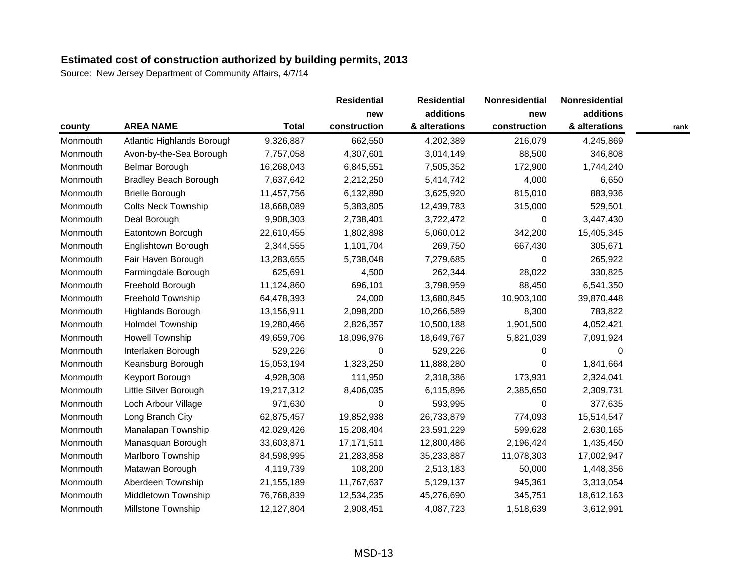|          |                              |              | <b>Residential</b> | <b>Residential</b> | Nonresidential | Nonresidential |      |
|----------|------------------------------|--------------|--------------------|--------------------|----------------|----------------|------|
|          |                              |              | new                | additions          | new            | additions      |      |
| county   | <b>AREA NAME</b>             | <b>Total</b> | construction       | & alterations      | construction   | & alterations  | rank |
| Monmouth | Atlantic Highlands Borough   | 9,326,887    | 662,550            | 4,202,389          | 216,079        | 4,245,869      |      |
| Monmouth | Avon-by-the-Sea Borough      | 7,757,058    | 4,307,601          | 3,014,149          | 88,500         | 346,808        |      |
| Monmouth | Belmar Borough               | 16,268,043   | 6,845,551          | 7,505,352          | 172,900        | 1,744,240      |      |
| Monmouth | <b>Bradley Beach Borough</b> | 7,637,642    | 2,212,250          | 5,414,742          | 4,000          | 6,650          |      |
| Monmouth | <b>Brielle Borough</b>       | 11,457,756   | 6,132,890          | 3,625,920          | 815,010        | 883,936        |      |
| Monmouth | <b>Colts Neck Township</b>   | 18,668,089   | 5,383,805          | 12,439,783         | 315,000        | 529,501        |      |
| Monmouth | Deal Borough                 | 9,908,303    | 2,738,401          | 3,722,472          | 0              | 3,447,430      |      |
| Monmouth | Eatontown Borough            | 22,610,455   | 1,802,898          | 5,060,012          | 342,200        | 15,405,345     |      |
| Monmouth | Englishtown Borough          | 2,344,555    | 1,101,704          | 269,750            | 667,430        | 305,671        |      |
| Monmouth | Fair Haven Borough           | 13,283,655   | 5,738,048          | 7,279,685          | $\Omega$       | 265,922        |      |
| Monmouth | Farmingdale Borough          | 625,691      | 4,500              | 262,344            | 28,022         | 330,825        |      |
| Monmouth | Freehold Borough             | 11,124,860   | 696,101            | 3,798,959          | 88,450         | 6,541,350      |      |
| Monmouth | Freehold Township            | 64,478,393   | 24,000             | 13,680,845         | 10,903,100     | 39,870,448     |      |
| Monmouth | <b>Highlands Borough</b>     | 13,156,911   | 2,098,200          | 10,266,589         | 8,300          | 783,822        |      |
| Monmouth | Holmdel Township             | 19,280,466   | 2,826,357          | 10,500,188         | 1,901,500      | 4,052,421      |      |
| Monmouth | Howell Township              | 49,659,706   | 18,096,976         | 18,649,767         | 5,821,039      | 7,091,924      |      |
| Monmouth | Interlaken Borough           | 529,226      | 0                  | 529,226            | 0              | 0              |      |
| Monmouth | Keansburg Borough            | 15,053,194   | 1,323,250          | 11,888,280         | 0              | 1,841,664      |      |
| Monmouth | Keyport Borough              | 4,928,308    | 111,950            | 2,318,386          | 173,931        | 2,324,041      |      |
| Monmouth | Little Silver Borough        | 19,217,312   | 8,406,035          | 6,115,896          | 2,385,650      | 2,309,731      |      |
| Monmouth | Loch Arbour Village          | 971,630      | 0                  | 593,995            | $\Omega$       | 377,635        |      |
| Monmouth | Long Branch City             | 62,875,457   | 19,852,938         | 26,733,879         | 774,093        | 15,514,547     |      |
| Monmouth | Manalapan Township           | 42,029,426   | 15,208,404         | 23,591,229         | 599,628        | 2,630,165      |      |
| Monmouth | Manasquan Borough            | 33,603,871   | 17,171,511         | 12,800,486         | 2,196,424      | 1,435,450      |      |
| Monmouth | Marlboro Township            | 84,598,995   | 21,283,858         | 35,233,887         | 11,078,303     | 17,002,947     |      |
| Monmouth | Matawan Borough              | 4,119,739    | 108,200            | 2,513,183          | 50,000         | 1,448,356      |      |
| Monmouth | Aberdeen Township            | 21,155,189   | 11,767,637         | 5,129,137          | 945,361        | 3,313,054      |      |
| Monmouth | Middletown Township          | 76,768,839   | 12,534,235         | 45,276,690         | 345,751        | 18,612,163     |      |
| Monmouth | <b>Millstone Township</b>    | 12,127,804   | 2,908,451          | 4,087,723          | 1,518,639      | 3,612,991      |      |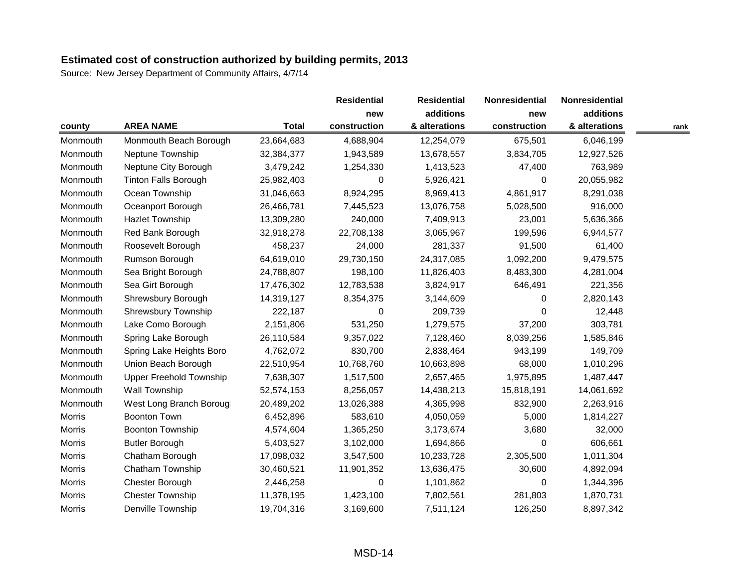|               |                                |              | <b>Residential</b> | <b>Residential</b> | Nonresidential | Nonresidential |      |
|---------------|--------------------------------|--------------|--------------------|--------------------|----------------|----------------|------|
|               |                                |              | new                | additions          | new            | additions      |      |
| county        | <b>AREA NAME</b>               | <b>Total</b> | construction       | & alterations      | construction   | & alterations  | rank |
| Monmouth      | Monmouth Beach Borough         | 23,664,683   | 4,688,904          | 12,254,079         | 675,501        | 6,046,199      |      |
| Monmouth      | Neptune Township               | 32,384,377   | 1,943,589          | 13,678,557         | 3,834,705      | 12,927,526     |      |
| Monmouth      | Neptune City Borough           | 3,479,242    | 1,254,330          | 1,413,523          | 47,400         | 763,989        |      |
| Monmouth      | <b>Tinton Falls Borough</b>    | 25,982,403   | 0                  | 5,926,421          | $\Omega$       | 20,055,982     |      |
| Monmouth      | Ocean Township                 | 31,046,663   | 8,924,295          | 8,969,413          | 4,861,917      | 8,291,038      |      |
| Monmouth      | Oceanport Borough              | 26,466,781   | 7,445,523          | 13,076,758         | 5,028,500      | 916,000        |      |
| Monmouth      | <b>Hazlet Township</b>         | 13,309,280   | 240,000            | 7,409,913          | 23,001         | 5,636,366      |      |
| Monmouth      | Red Bank Borough               | 32,918,278   | 22,708,138         | 3,065,967          | 199,596        | 6,944,577      |      |
| Monmouth      | Roosevelt Borough              | 458,237      | 24,000             | 281,337            | 91,500         | 61,400         |      |
| Monmouth      | Rumson Borough                 | 64,619,010   | 29,730,150         | 24,317,085         | 1,092,200      | 9,479,575      |      |
| Monmouth      | Sea Bright Borough             | 24,788,807   | 198,100            | 11,826,403         | 8,483,300      | 4,281,004      |      |
| Monmouth      | Sea Girt Borough               | 17,476,302   | 12,783,538         | 3,824,917          | 646,491        | 221,356        |      |
| Monmouth      | Shrewsbury Borough             | 14,319,127   | 8,354,375          | 3,144,609          | $\Omega$       | 2,820,143      |      |
| Monmouth      | Shrewsbury Township            | 222,187      | 0                  | 209,739            | $\Omega$       | 12,448         |      |
| Monmouth      | Lake Como Borough              | 2,151,806    | 531,250            | 1,279,575          | 37,200         | 303,781        |      |
| Monmouth      | Spring Lake Borough            | 26,110,584   | 9,357,022          | 7,128,460          | 8,039,256      | 1,585,846      |      |
| Monmouth      | Spring Lake Heights Boro       | 4,762,072    | 830,700            | 2,838,464          | 943,199        | 149,709        |      |
| Monmouth      | Union Beach Borough            | 22,510,954   | 10,768,760         | 10,663,898         | 68,000         | 1,010,296      |      |
| Monmouth      | <b>Upper Freehold Township</b> | 7,638,307    | 1,517,500          | 2,657,465          | 1,975,895      | 1,487,447      |      |
| Monmouth      | <b>Wall Township</b>           | 52,574,153   | 8,256,057          | 14,438,213         | 15,818,191     | 14,061,692     |      |
| Monmouth      | West Long Branch Borougl       | 20,489,202   | 13,026,388         | 4,365,998          | 832,900        | 2,263,916      |      |
| Morris        | <b>Boonton Town</b>            | 6,452,896    | 583,610            | 4,050,059          | 5,000          | 1,814,227      |      |
| <b>Morris</b> | <b>Boonton Township</b>        | 4,574,604    | 1,365,250          | 3,173,674          | 3,680          | 32,000         |      |
| <b>Morris</b> | <b>Butler Borough</b>          | 5,403,527    | 3,102,000          | 1,694,866          | 0              | 606,661        |      |
| Morris        | Chatham Borough                | 17,098,032   | 3,547,500          | 10,233,728         | 2,305,500      | 1,011,304      |      |
| <b>Morris</b> | Chatham Township               | 30,460,521   | 11,901,352         | 13,636,475         | 30,600         | 4,892,094      |      |
| <b>Morris</b> | Chester Borough                | 2,446,258    | 0                  | 1,101,862          | 0              | 1,344,396      |      |
| Morris        | <b>Chester Township</b>        | 11,378,195   | 1,423,100          | 7,802,561          | 281,803        | 1,870,731      |      |
| Morris        | Denville Township              | 19,704,316   | 3,169,600          | 7,511,124          | 126,250        | 8,897,342      |      |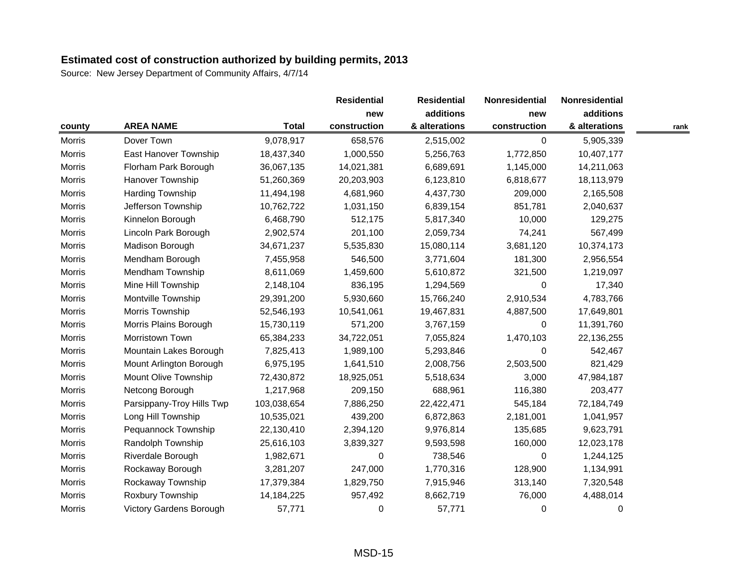|               |                                |              | <b>Residential</b> | <b>Residential</b> | Nonresidential | Nonresidential |      |
|---------------|--------------------------------|--------------|--------------------|--------------------|----------------|----------------|------|
|               |                                |              | new                | additions          | new            | additions      |      |
| county        | <b>AREA NAME</b>               | <b>Total</b> | construction       | & alterations      | construction   | & alterations  | rank |
| <b>Morris</b> | Dover Town                     | 9,078,917    | 658,576            | 2,515,002          | $\Omega$       | 5,905,339      |      |
| <b>Morris</b> | East Hanover Township          | 18,437,340   | 1,000,550          | 5,256,763          | 1,772,850      | 10,407,177     |      |
| <b>Morris</b> | Florham Park Borough           | 36,067,135   | 14,021,381         | 6,689,691          | 1,145,000      | 14,211,063     |      |
| Morris        | <b>Hanover Township</b>        | 51,260,369   | 20,203,903         | 6,123,810          | 6,818,677      | 18,113,979     |      |
| <b>Morris</b> | Harding Township               | 11,494,198   | 4,681,960          | 4,437,730          | 209,000        | 2,165,508      |      |
| <b>Morris</b> | Jefferson Township             | 10,762,722   | 1,031,150          | 6,839,154          | 851,781        | 2,040,637      |      |
| <b>Morris</b> | Kinnelon Borough               | 6,468,790    | 512,175            | 5,817,340          | 10,000         | 129,275        |      |
| <b>Morris</b> | Lincoln Park Borough           | 2,902,574    | 201,100            | 2,059,734          | 74,241         | 567,499        |      |
| <b>Morris</b> | Madison Borough                | 34,671,237   | 5,535,830          | 15,080,114         | 3,681,120      | 10,374,173     |      |
| <b>Morris</b> | Mendham Borough                | 7,455,958    | 546,500            | 3,771,604          | 181,300        | 2,956,554      |      |
| <b>Morris</b> | Mendham Township               | 8,611,069    | 1,459,600          | 5,610,872          | 321,500        | 1,219,097      |      |
| <b>Morris</b> | Mine Hill Township             | 2,148,104    | 836,195            | 1,294,569          | 0              | 17,340         |      |
| <b>Morris</b> | Montville Township             | 29,391,200   | 5,930,660          | 15,766,240         | 2,910,534      | 4,783,766      |      |
| <b>Morris</b> | Morris Township                | 52,546,193   | 10,541,061         | 19,467,831         | 4,887,500      | 17,649,801     |      |
| <b>Morris</b> | Morris Plains Borough          | 15,730,119   | 571,200            | 3,767,159          | 0              | 11,391,760     |      |
| <b>Morris</b> | Morristown Town                | 65,384,233   | 34,722,051         | 7,055,824          | 1,470,103      | 22,136,255     |      |
| <b>Morris</b> | Mountain Lakes Borough         | 7,825,413    | 1,989,100          | 5,293,846          | $\Omega$       | 542,467        |      |
| <b>Morris</b> | Mount Arlington Borough        | 6,975,195    | 1,641,510          | 2,008,756          | 2,503,500      | 821,429        |      |
| <b>Morris</b> | Mount Olive Township           | 72,430,872   | 18,925,051         | 5,518,634          | 3,000          | 47,984,187     |      |
| <b>Morris</b> | Netcong Borough                | 1,217,968    | 209,150            | 688,961            | 116,380        | 203,477        |      |
| <b>Morris</b> | Parsippany-Troy Hills Twp      | 103,038,654  | 7,886,250          | 22,422,471         | 545,184        | 72,184,749     |      |
| <b>Morris</b> | Long Hill Township             | 10,535,021   | 439,200            | 6,872,863          | 2,181,001      | 1,041,957      |      |
| <b>Morris</b> | Pequannock Township            | 22,130,410   | 2,394,120          | 9,976,814          | 135,685        | 9,623,791      |      |
| <b>Morris</b> | Randolph Township              | 25,616,103   | 3,839,327          | 9,593,598          | 160,000        | 12,023,178     |      |
| <b>Morris</b> | Riverdale Borough              | 1,982,671    | 0                  | 738,546            | 0              | 1,244,125      |      |
| <b>Morris</b> | Rockaway Borough               | 3,281,207    | 247,000            | 1,770,316          | 128,900        | 1,134,991      |      |
| <b>Morris</b> | Rockaway Township              | 17,379,384   | 1,829,750          | 7,915,946          | 313,140        | 7,320,548      |      |
| <b>Morris</b> | Roxbury Township               | 14,184,225   | 957,492            | 8,662,719          | 76,000         | 4,488,014      |      |
| <b>Morris</b> | <b>Victory Gardens Borough</b> | 57,771       | 0                  | 57,771             | 0              | 0              |      |
|               |                                |              |                    |                    |                |                |      |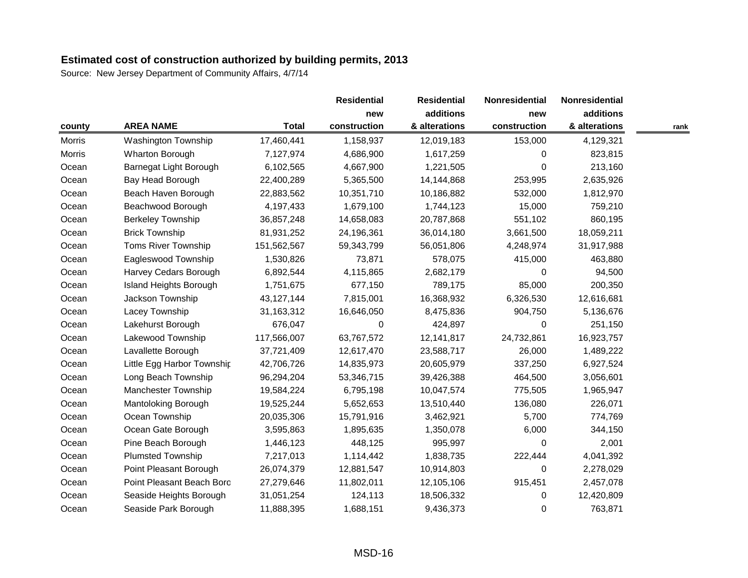|               |                               |              | <b>Residential</b> | <b>Residential</b> | Nonresidential | Nonresidential |      |
|---------------|-------------------------------|--------------|--------------------|--------------------|----------------|----------------|------|
|               |                               |              | new                | additions          | new            | additions      |      |
| county        | <b>AREA NAME</b>              | <b>Total</b> | construction       | & alterations      | construction   | & alterations  | rank |
| <b>Morris</b> | Washington Township           | 17,460,441   | 1,158,937          | 12,019,183         | 153,000        | 4,129,321      |      |
| <b>Morris</b> | <b>Wharton Borough</b>        | 7,127,974    | 4,686,900          | 1,617,259          | $\Omega$       | 823,815        |      |
| Ocean         | Barnegat Light Borough        | 6,102,565    | 4,667,900          | 1,221,505          | $\Omega$       | 213,160        |      |
| Ocean         | Bay Head Borough              | 22,400,289   | 5,365,500          | 14,144,868         | 253,995        | 2,635,926      |      |
| Ocean         | Beach Haven Borough           | 22,883,562   | 10,351,710         | 10,186,882         | 532,000        | 1,812,970      |      |
| Ocean         | Beachwood Borough             | 4,197,433    | 1,679,100          | 1,744,123          | 15,000         | 759,210        |      |
| Ocean         | <b>Berkeley Township</b>      | 36,857,248   | 14,658,083         | 20,787,868         | 551,102        | 860,195        |      |
| Ocean         | <b>Brick Township</b>         | 81,931,252   | 24,196,361         | 36,014,180         | 3,661,500      | 18,059,211     |      |
| Ocean         | <b>Toms River Township</b>    | 151,562,567  | 59,343,799         | 56,051,806         | 4,248,974      | 31,917,988     |      |
| Ocean         | Eagleswood Township           | 1,530,826    | 73,871             | 578,075            | 415,000        | 463,880        |      |
| Ocean         | Harvey Cedars Borough         | 6,892,544    | 4,115,865          | 2,682,179          | $\Omega$       | 94,500         |      |
| Ocean         | <b>Island Heights Borough</b> | 1,751,675    | 677,150            | 789,175            | 85,000         | 200,350        |      |
| Ocean         | Jackson Township              | 43,127,144   | 7,815,001          | 16,368,932         | 6,326,530      | 12,616,681     |      |
| Ocean         | Lacey Township                | 31,163,312   | 16,646,050         | 8,475,836          | 904,750        | 5,136,676      |      |
| Ocean         | Lakehurst Borough             | 676,047      | 0                  | 424,897            | $\Omega$       | 251,150        |      |
| Ocean         | Lakewood Township             | 117,566,007  | 63,767,572         | 12,141,817         | 24,732,861     | 16,923,757     |      |
| Ocean         | Lavallette Borough            | 37,721,409   | 12,617,470         | 23,588,717         | 26,000         | 1,489,222      |      |
| Ocean         | Little Egg Harbor Township    | 42,706,726   | 14,835,973         | 20,605,979         | 337,250        | 6,927,524      |      |
| Ocean         | Long Beach Township           | 96,294,204   | 53,346,715         | 39,426,388         | 464,500        | 3,056,601      |      |
| Ocean         | Manchester Township           | 19,584,224   | 6,795,198          | 10,047,574         | 775,505        | 1,965,947      |      |
| Ocean         | Mantoloking Borough           | 19,525,244   | 5,652,653          | 13,510,440         | 136,080        | 226,071        |      |
| Ocean         | Ocean Township                | 20,035,306   | 15,791,916         | 3,462,921          | 5,700          | 774,769        |      |
| Ocean         | Ocean Gate Borough            | 3,595,863    | 1,895,635          | 1,350,078          | 6,000          | 344,150        |      |
| Ocean         | Pine Beach Borough            | 1,446,123    | 448,125            | 995,997            | 0              | 2,001          |      |
| Ocean         | <b>Plumsted Township</b>      | 7,217,013    | 1,114,442          | 1,838,735          | 222,444        | 4,041,392      |      |
| Ocean         | Point Pleasant Borough        | 26,074,379   | 12,881,547         | 10,914,803         | 0              | 2,278,029      |      |
| Ocean         | Point Pleasant Beach Boro     | 27,279,646   | 11,802,011         | 12,105,106         | 915,451        | 2,457,078      |      |
| Ocean         | Seaside Heights Borough       | 31,051,254   | 124,113            | 18,506,332         | 0              | 12,420,809     |      |
| Ocean         | Seaside Park Borough          | 11,888,395   | 1,688,151          | 9,436,373          | 0              | 763,871        |      |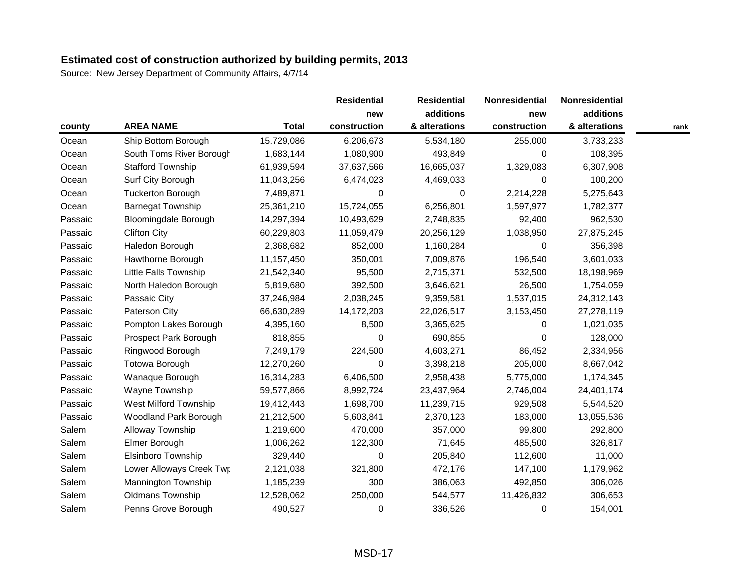Source: New Jersey Department of Community Affairs, 4/7/14

|         |                              |              | <b>Residential</b> | <b>Residential</b> | Nonresidential | Nonresidential |      |
|---------|------------------------------|--------------|--------------------|--------------------|----------------|----------------|------|
|         |                              |              | new                | additions          | new            | additions      |      |
| county  | <b>AREA NAME</b>             | <b>Total</b> | construction       | & alterations      | construction   | & alterations  | rank |
| Ocean   | Ship Bottom Borough          | 15,729,086   | 6,206,673          | 5,534,180          | 255,000        | 3,733,233      |      |
| Ocean   | South Toms River Borough     | 1,683,144    | 1,080,900          | 493,849            | $\Omega$       | 108,395        |      |
| Ocean   | <b>Stafford Township</b>     | 61,939,594   | 37,637,566         | 16,665,037         | 1,329,083      | 6,307,908      |      |
| Ocean   | Surf City Borough            | 11,043,256   | 6,474,023          | 4,469,033          | $\Omega$       | 100,200        |      |
| Ocean   | <b>Tuckerton Borough</b>     | 7,489,871    | 0                  | 0                  | 2,214,228      | 5,275,643      |      |
| Ocean   | <b>Barnegat Township</b>     | 25,361,210   | 15,724,055         | 6,256,801          | 1,597,977      | 1,782,377      |      |
| Passaic | <b>Bloomingdale Borough</b>  | 14,297,394   | 10,493,629         | 2,748,835          | 92,400         | 962,530        |      |
| Passaic | <b>Clifton City</b>          | 60,229,803   | 11,059,479         | 20,256,129         | 1,038,950      | 27,875,245     |      |
| Passaic | Haledon Borough              | 2,368,682    | 852,000            | 1,160,284          | $\Omega$       | 356,398        |      |
| Passaic | Hawthorne Borough            | 11,157,450   | 350,001            | 7,009,876          | 196,540        | 3,601,033      |      |
| Passaic | <b>Little Falls Township</b> | 21,542,340   | 95,500             | 2,715,371          | 532,500        | 18,198,969     |      |
| Passaic | North Haledon Borough        | 5,819,680    | 392,500            | 3,646,621          | 26,500         | 1,754,059      |      |
| Passaic | Passaic City                 | 37,246,984   | 2,038,245          | 9,359,581          | 1,537,015      | 24,312,143     |      |
| Passaic | Paterson City                | 66,630,289   | 14,172,203         | 22,026,517         | 3,153,450      | 27,278,119     |      |
| Passaic | Pompton Lakes Borough        | 4,395,160    | 8,500              | 3,365,625          | $\Omega$       | 1,021,035      |      |
| Passaic | Prospect Park Borough        | 818,855      | 0                  | 690,855            | 0              | 128,000        |      |
| Passaic | Ringwood Borough             | 7,249,179    | 224,500            | 4,603,271          | 86,452         | 2,334,956      |      |
| Passaic | <b>Totowa Borough</b>        | 12,270,260   | $\boldsymbol{0}$   | 3,398,218          | 205,000        | 8,667,042      |      |
| Passaic | Wanaque Borough              | 16,314,283   | 6,406,500          | 2,958,438          | 5,775,000      | 1,174,345      |      |
| Passaic | Wayne Township               | 59,577,866   | 8,992,724          | 23,437,964         | 2,746,004      | 24,401,174     |      |
| Passaic | <b>West Milford Township</b> | 19,412,443   | 1,698,700          | 11,239,715         | 929,508        | 5,544,520      |      |
| Passaic | <b>Woodland Park Borough</b> | 21,212,500   | 5,603,841          | 2,370,123          | 183,000        | 13,055,536     |      |
| Salem   | Alloway Township             | 1,219,600    | 470,000            | 357,000            | 99,800         | 292,800        |      |
| Salem   | Elmer Borough                | 1,006,262    | 122,300            | 71,645             | 485,500        | 326,817        |      |
| Salem   | Elsinboro Township           | 329,440      | 0                  | 205,840            | 112,600        | 11,000         |      |
| Salem   | Lower Alloways Creek Twp     | 2,121,038    | 321,800            | 472,176            | 147,100        | 1,179,962      |      |
| Salem   | Mannington Township          | 1,185,239    | 300                | 386,063            | 492,850        | 306,026        |      |
| Salem   | <b>Oldmans Township</b>      | 12,528,062   | 250,000            | 544,577            | 11,426,832     | 306,653        |      |
| Salem   | Penns Grove Borough          | 490,527      | 0                  | 336,526            | $\Omega$       | 154,001        |      |

MSD-17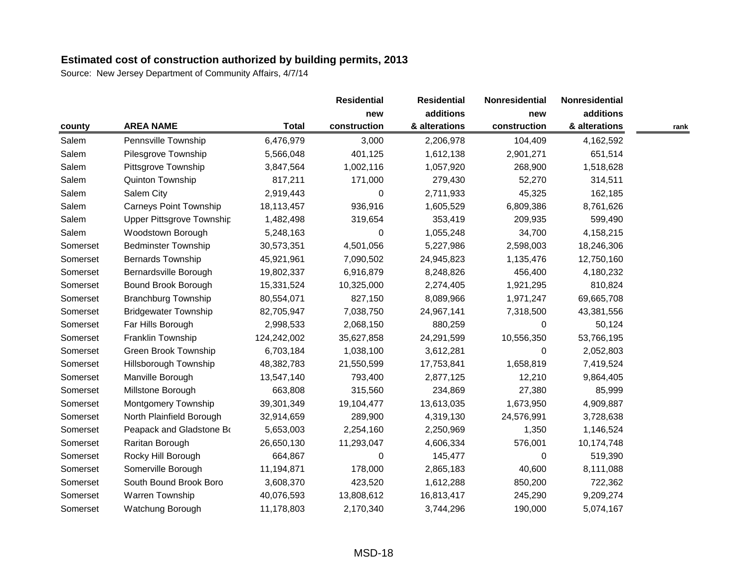Source: New Jersey Department of Community Affairs, 4/7/14

|          |                               |              | <b>Residential</b> | <b>Residential</b> | Nonresidential | Nonresidential |      |
|----------|-------------------------------|--------------|--------------------|--------------------|----------------|----------------|------|
|          |                               |              | new                | additions          | new            | additions      |      |
| county   | <b>AREA NAME</b>              | <b>Total</b> | construction       | & alterations      | construction   | & alterations  | rank |
| Salem    | Pennsville Township           | 6,476,979    | 3,000              | 2,206,978          | 104,409        | 4,162,592      |      |
| Salem    | Pilesgrove Township           | 5,566,048    | 401,125            | 1,612,138          | 2,901,271      | 651,514        |      |
| Salem    | Pittsgrove Township           | 3,847,564    | 1,002,116          | 1,057,920          | 268,900        | 1,518,628      |      |
| Salem    | Quinton Township              | 817,211      | 171,000            | 279,430            | 52,270         | 314,511        |      |
| Salem    | Salem City                    | 2,919,443    | $\Omega$           | 2,711,933          | 45,325         | 162,185        |      |
| Salem    | <b>Carneys Point Township</b> | 18,113,457   | 936,916            | 1,605,529          | 6,809,386      | 8,761,626      |      |
| Salem    | Upper Pittsgrove Township     | 1,482,498    | 319,654            | 353,419            | 209,935        | 599,490        |      |
| Salem    | Woodstown Borough             | 5,248,163    | 0                  | 1,055,248          | 34,700         | 4,158,215      |      |
| Somerset | <b>Bedminster Township</b>    | 30,573,351   | 4,501,056          | 5,227,986          | 2,598,003      | 18,246,306     |      |
| Somerset | <b>Bernards Township</b>      | 45,921,961   | 7,090,502          | 24,945,823         | 1,135,476      | 12,750,160     |      |
| Somerset | Bernardsville Borough         | 19,802,337   | 6,916,879          | 8,248,826          | 456,400        | 4,180,232      |      |
| Somerset | Bound Brook Borough           | 15,331,524   | 10,325,000         | 2,274,405          | 1,921,295      | 810,824        |      |
| Somerset | <b>Branchburg Township</b>    | 80,554,071   | 827,150            | 8,089,966          | 1,971,247      | 69,665,708     |      |
| Somerset | <b>Bridgewater Township</b>   | 82,705,947   | 7,038,750          | 24,967,141         | 7,318,500      | 43,381,556     |      |
| Somerset | Far Hills Borough             | 2,998,533    | 2,068,150          | 880,259            | $\Omega$       | 50,124         |      |
| Somerset | Franklin Township             | 124,242,002  | 35,627,858         | 24,291,599         | 10,556,350     | 53,766,195     |      |
| Somerset | Green Brook Township          | 6,703,184    | 1,038,100          | 3,612,281          | 0              | 2,052,803      |      |
| Somerset | Hillsborough Township         | 48,382,783   | 21,550,599         | 17,753,841         | 1,658,819      | 7,419,524      |      |
| Somerset | Manville Borough              | 13,547,140   | 793,400            | 2,877,125          | 12,210         | 9,864,405      |      |
| Somerset | Millstone Borough             | 663,808      | 315,560            | 234,869            | 27,380         | 85,999         |      |
| Somerset | <b>Montgomery Township</b>    | 39,301,349   | 19,104,477         | 13,613,035         | 1,673,950      | 4,909,887      |      |
| Somerset | North Plainfield Borough      | 32,914,659   | 289,900            | 4,319,130          | 24,576,991     | 3,728,638      |      |
| Somerset | Peapack and Gladstone Bo      | 5,653,003    | 2,254,160          | 2,250,969          | 1,350          | 1,146,524      |      |
| Somerset | Raritan Borough               | 26,650,130   | 11,293,047         | 4,606,334          | 576,001        | 10,174,748     |      |
| Somerset | Rocky Hill Borough            | 664,867      | 0                  | 145,477            | $\Omega$       | 519,390        |      |
| Somerset | Somerville Borough            | 11,194,871   | 178,000            | 2,865,183          | 40,600         | 8,111,088      |      |
| Somerset | South Bound Brook Boro        | 3,608,370    | 423,520            | 1,612,288          | 850,200        | 722,362        |      |
| Somerset | Warren Township               | 40,076,593   | 13,808,612         | 16,813,417         | 245,290        | 9,209,274      |      |
| Somerset | Watchung Borough              | 11,178,803   | 2,170,340          | 3,744,296          | 190,000        | 5,074,167      |      |

MSD-18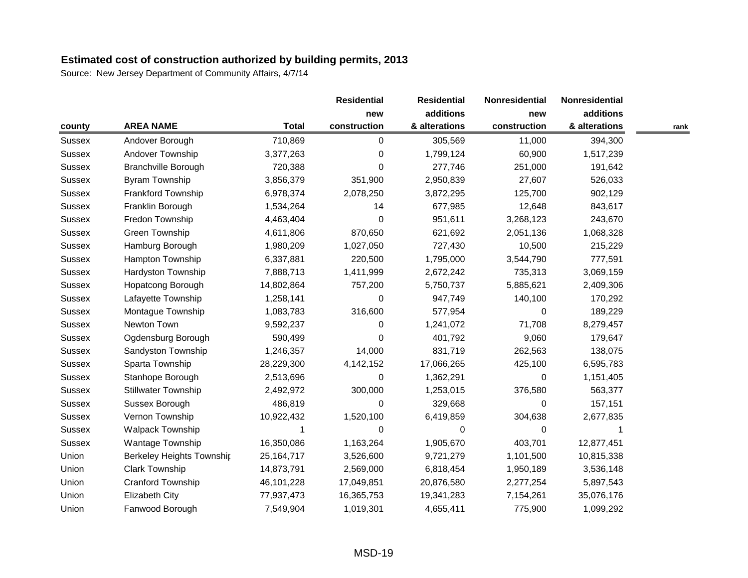|               |                                  |              | <b>Residential</b> | <b>Residential</b> | Nonresidential | Nonresidential |      |
|---------------|----------------------------------|--------------|--------------------|--------------------|----------------|----------------|------|
|               |                                  |              | new                | additions          | new            | additions      |      |
| county        | <b>AREA NAME</b>                 | <b>Total</b> | construction       | & alterations      | construction   | & alterations  | rank |
| Sussex        | Andover Borough                  | 710,869      | 0                  | 305,569            | 11,000         | 394,300        |      |
| <b>Sussex</b> | Andover Township                 | 3,377,263    | 0                  | 1,799,124          | 60,900         | 1,517,239      |      |
| <b>Sussex</b> | <b>Branchville Borough</b>       | 720,388      | 0                  | 277,746            | 251,000        | 191,642        |      |
| <b>Sussex</b> | Byram Township                   | 3,856,379    | 351,900            | 2,950,839          | 27,607         | 526,033        |      |
| <b>Sussex</b> | <b>Frankford Township</b>        | 6,978,374    | 2,078,250          | 3,872,295          | 125,700        | 902,129        |      |
| <b>Sussex</b> | Franklin Borough                 | 1,534,264    | 14                 | 677,985            | 12,648         | 843,617        |      |
| <b>Sussex</b> | Fredon Township                  | 4,463,404    | 0                  | 951,611            | 3,268,123      | 243,670        |      |
| <b>Sussex</b> | Green Township                   | 4,611,806    | 870,650            | 621,692            | 2,051,136      | 1,068,328      |      |
| <b>Sussex</b> | Hamburg Borough                  | 1,980,209    | 1,027,050          | 727,430            | 10,500         | 215,229        |      |
| <b>Sussex</b> | Hampton Township                 | 6,337,881    | 220,500            | 1,795,000          | 3,544,790      | 777,591        |      |
| <b>Sussex</b> | Hardyston Township               | 7,888,713    | 1,411,999          | 2,672,242          | 735,313        | 3,069,159      |      |
| <b>Sussex</b> | Hopatcong Borough                | 14,802,864   | 757,200            | 5,750,737          | 5,885,621      | 2,409,306      |      |
| <b>Sussex</b> | Lafayette Township               | 1,258,141    | 0                  | 947,749            | 140,100        | 170,292        |      |
| <b>Sussex</b> | Montague Township                | 1,083,783    | 316,600            | 577,954            | 0              | 189,229        |      |
| <b>Sussex</b> | Newton Town                      | 9,592,237    | 0                  | 1,241,072          | 71,708         | 8,279,457      |      |
| <b>Sussex</b> | Ogdensburg Borough               | 590,499      | 0                  | 401,792            | 9,060          | 179,647        |      |
| <b>Sussex</b> | Sandyston Township               | 1,246,357    | 14,000             | 831,719            | 262,563        | 138,075        |      |
| <b>Sussex</b> | Sparta Township                  | 28,229,300   | 4, 142, 152        | 17,066,265         | 425,100        | 6,595,783      |      |
| <b>Sussex</b> | Stanhope Borough                 | 2,513,696    | 0                  | 1,362,291          | 0              | 1,151,405      |      |
| <b>Sussex</b> | <b>Stillwater Township</b>       | 2,492,972    | 300,000            | 1,253,015          | 376,580        | 563,377        |      |
| <b>Sussex</b> | Sussex Borough                   | 486,819      | 0                  | 329,668            | $\Omega$       | 157,151        |      |
| <b>Sussex</b> | Vernon Township                  | 10,922,432   | 1,520,100          | 6,419,859          | 304,638        | 2,677,835      |      |
| <b>Sussex</b> | <b>Walpack Township</b>          |              | 0                  | 0                  | 0              |                |      |
| <b>Sussex</b> | Wantage Township                 | 16,350,086   | 1,163,264          | 1,905,670          | 403,701        | 12,877,451     |      |
| Union         | <b>Berkeley Heights Township</b> | 25, 164, 717 | 3,526,600          | 9,721,279          | 1,101,500      | 10,815,338     |      |
| Union         | <b>Clark Township</b>            | 14,873,791   | 2,569,000          | 6,818,454          | 1,950,189      | 3,536,148      |      |
| Union         | Cranford Township                | 46, 101, 228 | 17,049,851         | 20,876,580         | 2,277,254      | 5,897,543      |      |
| Union         | <b>Elizabeth City</b>            | 77,937,473   | 16,365,753         | 19,341,283         | 7,154,261      | 35,076,176     |      |
| Union         | Fanwood Borough                  | 7,549,904    | 1,019,301          | 4,655,411          | 775,900        | 1,099,292      |      |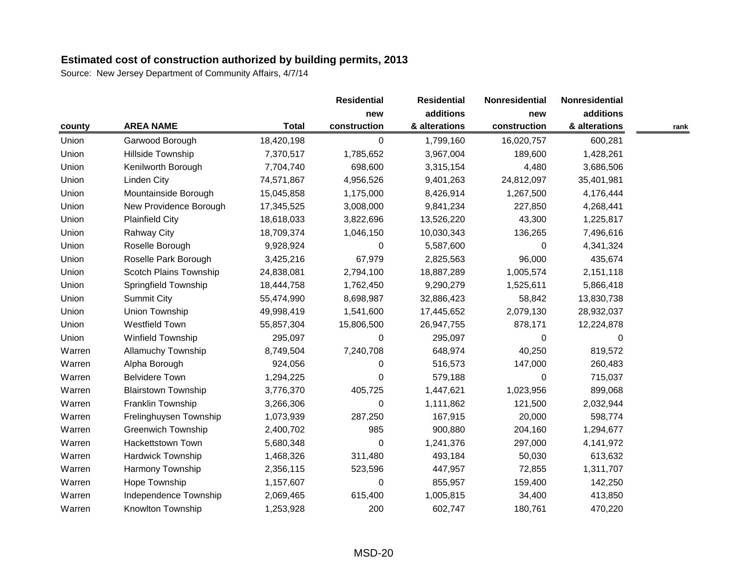|        |                            |              | <b>Residential</b> | <b>Residential</b> | Nonresidential | Nonresidential |      |
|--------|----------------------------|--------------|--------------------|--------------------|----------------|----------------|------|
|        |                            |              | new                | additions          | new            | additions      |      |
| county | <b>AREA NAME</b>           | <b>Total</b> | construction       | & alterations      | construction   | & alterations  | rank |
| Union  | Garwood Borough            | 18,420,198   | 0                  | 1,799,160          | 16,020,757     | 600,281        |      |
| Union  | Hillside Township          | 7,370,517    | 1,785,652          | 3,967,004          | 189,600        | 1,428,261      |      |
| Union  | Kenilworth Borough         | 7,704,740    | 698,600            | 3,315,154          | 4,480          | 3,686,506      |      |
| Union  | <b>Linden City</b>         | 74,571,867   | 4,956,526          | 9,401,263          | 24,812,097     | 35,401,981     |      |
| Union  | Mountainside Borough       | 15,045,858   | 1,175,000          | 8,426,914          | 1,267,500      | 4,176,444      |      |
| Union  | New Providence Borough     | 17,345,525   | 3,008,000          | 9,841,234          | 227,850        | 4,268,441      |      |
| Union  | <b>Plainfield City</b>     | 18,618,033   | 3,822,696          | 13,526,220         | 43,300         | 1,225,817      |      |
| Union  | <b>Rahway City</b>         | 18,709,374   | 1,046,150          | 10,030,343         | 136,265        | 7,496,616      |      |
| Union  | Roselle Borough            | 9,928,924    | 0                  | 5,587,600          | $\Omega$       | 4,341,324      |      |
| Union  | Roselle Park Borough       | 3,425,216    | 67,979             | 2,825,563          | 96,000         | 435,674        |      |
| Union  | Scotch Plains Township     | 24,838,081   | 2,794,100          | 18,887,289         | 1,005,574      | 2,151,118      |      |
| Union  | Springfield Township       | 18,444,758   | 1,762,450          | 9,290,279          | 1,525,611      | 5,866,418      |      |
| Union  | <b>Summit City</b>         | 55,474,990   | 8,698,987          | 32,886,423         | 58,842         | 13,830,738     |      |
| Union  | <b>Union Township</b>      | 49,998,419   | 1,541,600          | 17,445,652         | 2,079,130      | 28,932,037     |      |
| Union  | <b>Westfield Town</b>      | 55,857,304   | 15,806,500         | 26,947,755         | 878,171        | 12,224,878     |      |
| Union  | Winfield Township          | 295,097      | 0                  | 295,097            | 0              | 0              |      |
| Warren | <b>Allamuchy Township</b>  | 8,749,504    | 7,240,708          | 648,974            | 40,250         | 819,572        |      |
| Warren | Alpha Borough              | 924,056      | 0                  | 516,573            | 147,000        | 260,483        |      |
| Warren | <b>Belvidere Town</b>      | 1,294,225    | 0                  | 579,188            | $\Omega$       | 715,037        |      |
| Warren | <b>Blairstown Township</b> | 3,776,370    | 405,725            | 1,447,621          | 1,023,956      | 899,068        |      |
| Warren | Franklin Township          | 3,266,306    | 0                  | 1,111,862          | 121,500        | 2,032,944      |      |
| Warren | Frelinghuysen Township     | 1,073,939    | 287,250            | 167,915            | 20,000         | 598,774        |      |
| Warren | <b>Greenwich Township</b>  | 2,400,702    | 985                | 900,880            | 204,160        | 1,294,677      |      |
| Warren | <b>Hackettstown Town</b>   | 5,680,348    | 0                  | 1,241,376          | 297,000        | 4,141,972      |      |
| Warren | <b>Hardwick Township</b>   | 1,468,326    | 311,480            | 493,184            | 50,030         | 613,632        |      |
| Warren | Harmony Township           | 2,356,115    | 523,596            | 447,957            | 72,855         | 1,311,707      |      |
| Warren | Hope Township              | 1,157,607    | 0                  | 855,957            | 159,400        | 142,250        |      |
| Warren | Independence Township      | 2,069,465    | 615,400            | 1,005,815          | 34,400         | 413,850        |      |
| Warren | Knowlton Township          | 1,253,928    | 200                | 602,747            | 180,761        | 470,220        |      |